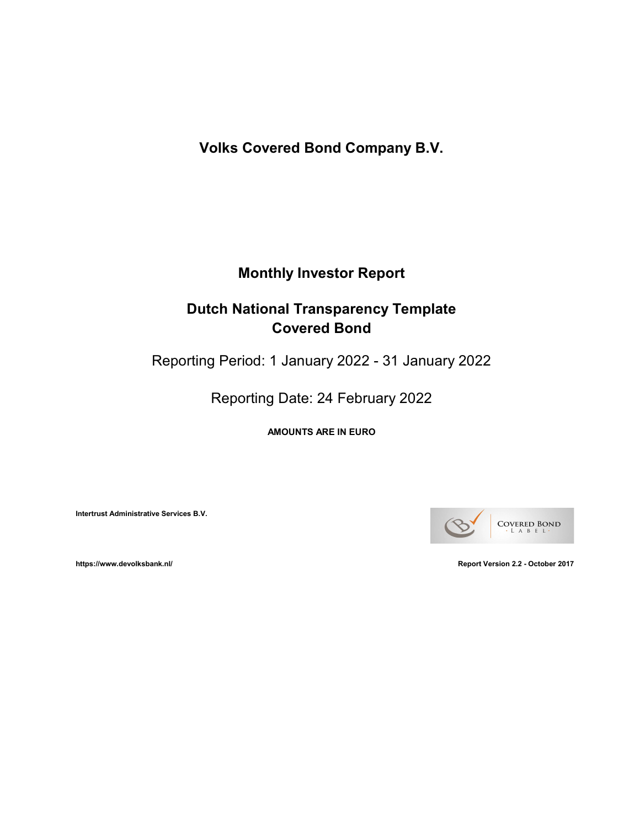Volks Covered Bond Company B.V.

# Monthly Investor Report

# Dutch National Transparency Template Covered Bond

Reporting Period: 1 January 2022 - 31 January 2022

Reporting Date: 24 February 2022

AMOUNTS ARE IN EURO

Intertrust Administrative Services B.V.

COVERED BOND A B E L

https://www.devolksbank.nl/ Report Version 2.2 - October 2017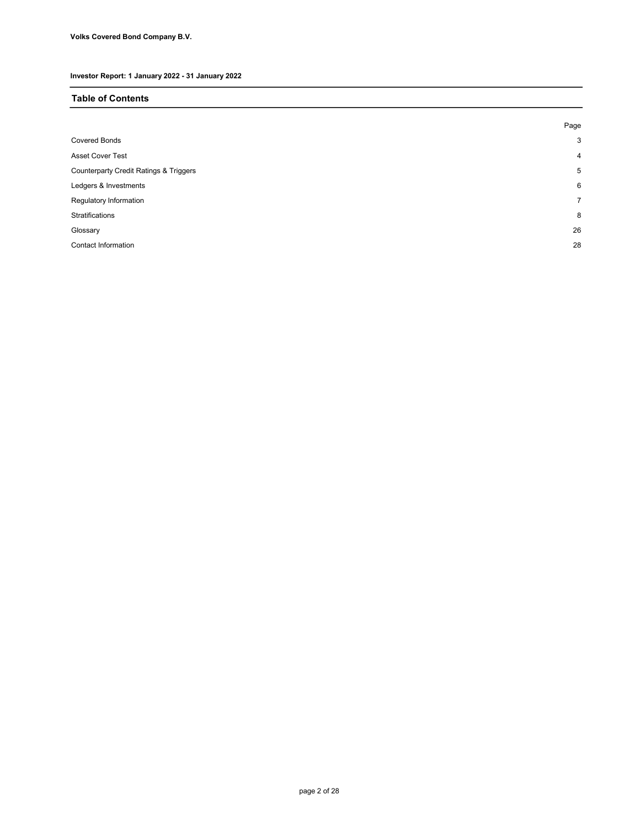### Table of Contents

|                                                   | Page |
|---------------------------------------------------|------|
| <b>Covered Bonds</b>                              | 3    |
| <b>Asset Cover Test</b>                           | 4    |
| <b>Counterparty Credit Ratings &amp; Triggers</b> | 5    |
| Ledgers & Investments                             | 6    |
| Regulatory Information                            | 7    |
| Stratifications                                   | 8    |
| Glossary                                          | 26   |
| Contact Information                               | 28   |
|                                                   |      |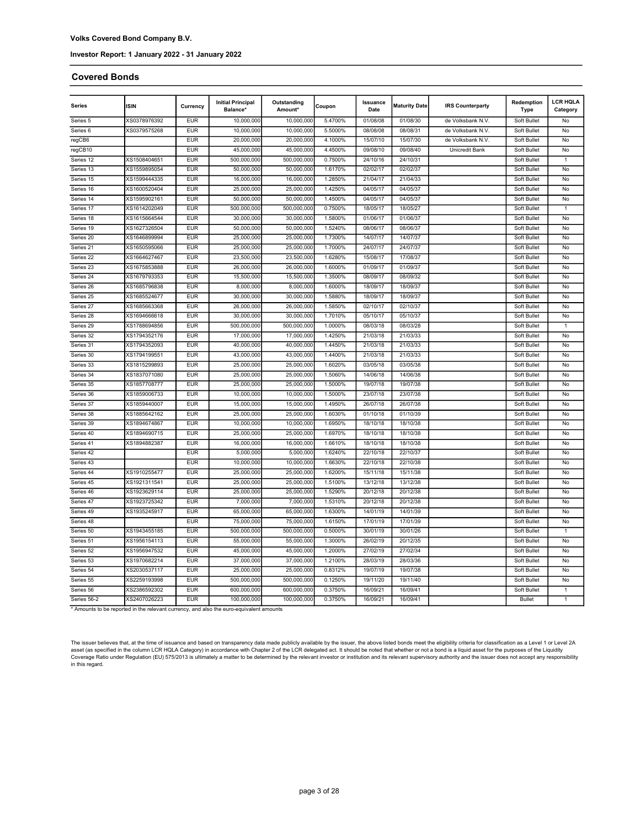#### Covered Bonds

| Series               | ISIN         | Currency   | <b>Initial Principal</b><br>Balance* | Outstanding<br>Amount* | Coupon  | Issuance<br>Date | <b>Maturity Date</b> | <b>IRS Counterparty</b> | Redemption<br>Type | <b>LCR HQLA</b><br>Category |
|----------------------|--------------|------------|--------------------------------------|------------------------|---------|------------------|----------------------|-------------------------|--------------------|-----------------------------|
| Series 5             | XS0378976392 | <b>EUR</b> | 10,000,000                           | 10,000,000             | 5.4700% | 01/08/08         | 01/08/30             | de Volksbank N.V.       | Soft Bullet        | No                          |
| Series <sub>6</sub>  | XS0379575268 | <b>EUR</b> | 10,000,000                           | 10.000.000             | 5.5000% | 08/08/08         | 08/08/31             | de Volksbank N.V.       | Soft Bullet        | No                          |
| regCB6               |              | <b>EUR</b> | 20,000,000                           | 20,000,000             | 4.1000% | 15/07/10         | 15/07/30             | de Volksbank N.V.       | Soft Bullet        | No                          |
| regCB10              |              | <b>EUR</b> | 45,000,000                           | 45,000,000             | 4.4500% | 09/08/10         | 09/08/40             | Unicredit Bank          | Soft Bullet        | No                          |
| Series 12            | XS1508404651 | <b>EUR</b> | 500.000.000                          | 500.000.000            | 0.7500% | 24/10/16         | 24/10/31             |                         | Soft Bullet        | 1                           |
| Series 13            | XS1559895054 | <b>EUR</b> | 50.000.000                           | 50,000,000             | 1.6170% | 02/02/17         | 02/02/37             |                         | Soft Bullet        | No                          |
| Series 15            | XS1599444335 | <b>EUR</b> | 16,000,000                           | 16,000,000             | 1.2850% | 21/04/17         | 21/04/33             |                         | Soft Bullet        | No                          |
| Series 16            | XS1600520404 | <b>EUR</b> | 25,000,000                           | 25,000,000             | 1.4250% | 04/05/17         | 04/05/37             |                         | Soft Bullet        | No                          |
| Series 14            | XS1595902161 | <b>EUR</b> | 50,000,000                           | 50,000,000             | 1.4500% | 04/05/17         | 04/05/37             |                         | Soft Bullet        | No                          |
| Series 17            | XS1614202049 | <b>EUR</b> | 500,000,000                          | 500,000,000            | 0.7500% | 18/05/17         | 18/05/27             |                         | Soft Bullet        | 1                           |
| Series 18            | XS1615664544 | <b>EUR</b> | 30,000,000                           | 30,000,000             | 1.5800% | 01/06/17         | 01/06/37             |                         | Soft Bullet        | No                          |
| Series 19            | XS1627326504 | <b>EUR</b> | 50,000,000                           | 50,000,000             | 1.5240% | 08/06/17         | 08/06/37             |                         | Soft Bullet        | No                          |
| Series 20            | XS1646899994 | <b>EUR</b> | 25,000,000                           | 25,000,000             | 1.7300% | 14/07/17         | 14/07/37             |                         | Soft Bullet        | No                          |
| Series <sub>21</sub> | XS1650595066 | <b>EUR</b> | 25,000,000                           | 25,000,000             | 1.7000% | 24/07/17         | 24/07/37             |                         | Soft Bullet        | No                          |
| Series 22            | XS1664627467 | <b>EUR</b> | 23,500,000                           | 23,500,000             | 1.6280% | 15/08/17         | 17/08/37             |                         | Soft Bullet        | No                          |
| Series 23            | XS1675853888 | <b>EUR</b> | 26,000,000                           | 26,000,000             | 1.6000% | 01/09/17         | 01/09/37             |                         | Soft Bullet        | No                          |
| Series 24            | XS1679793353 | <b>EUR</b> | 15.500.000                           | 15,500,000             | 1.3500% | 08/09/17         | 08/09/32             |                         | Soft Bullet        | No                          |
| Series 26            | XS1685796838 | <b>EUR</b> | 8,000,000                            | 8,000,000              | 1.6000% | 18/09/17         | 18/09/37             |                         | Soft Bullet        | No                          |
| Series 25            | XS1685524677 | <b>EUR</b> | 30,000,000                           | 30,000,000             | 1.5880% | 18/09/17         | 18/09/37             |                         | Soft Bullet        | No                          |
| Series 27            | XS1685663368 | <b>EUR</b> | 26,000,000                           | 26,000,000             | 1.5850% | 02/10/17         | 02/10/37             |                         | Soft Bullet        | No                          |
| Series 28            | XS1694666618 | <b>EUR</b> | 30,000,000                           | 30,000,000             | 1.7010% | 05/10/17         | 05/10/37             |                         | Soft Bullet        | No                          |
| Series 29            | XS1788694856 | <b>EUR</b> | 500,000,000                          | 500,000,000            | 1.0000% | 08/03/18         | 08/03/28             |                         | Soft Bullet        | 1                           |
| Series 32            | XS1794352176 | <b>EUR</b> | 17,000,000                           | 17,000,000             | 1.4250% | 21/03/18         | 21/03/33             |                         | Soft Bullet        | No                          |
| Series 31            | XS1794352093 | <b>EUR</b> | 40,000,000                           | 40,000,000             | 1.4450% | 21/03/18         | 21/03/33             |                         | Soft Bullet        | No                          |
| Series 30            | XS1794199551 | <b>EUR</b> | 43,000,000                           | 43,000,000             | 1.4400% | 21/03/18         | 21/03/33             |                         | Soft Bullet        | No                          |
| Series 33            | XS1815299893 | <b>EUR</b> | 25,000,000                           | 25,000,000             | 1.6020% | 03/05/18         | 03/05/38             |                         | Soft Bullet        | No                          |
| Series 34            | XS1837071080 | <b>EUR</b> | 25,000,000                           | 25,000,000             | 1.5060% | 14/06/18         | 14/06/38             |                         | Soft Bullet        | No                          |
| Series 35            | XS1857708777 | <b>EUR</b> | 25,000,000                           | 25,000,000             | 1.5000% | 19/07/18         | 19/07/38             |                         | Soft Bullet        | No                          |
| Series 36            | XS1859006733 | <b>EUR</b> | 10,000,000                           | 10,000,000             | 1.5000% | 23/07/18         | 23/07/38             |                         | Soft Bullet        | No                          |
| Series 37            | XS1859440007 | <b>EUR</b> | 15,000,000                           | 15,000,000             | 1.4950% | 26/07/18         | 26/07/38             |                         | Soft Bullet        | No                          |
| Series 38            | XS1885642162 | <b>EUR</b> | 25,000,000                           | 25,000,000             | 1.6030% | 01/10/18         | 01/10/39             |                         | Soft Bullet        | No                          |
| Series 39            | XS1894674867 | <b>EUR</b> | 10,000,000                           | 10,000,000             | 1.6950% | 18/10/18         | 18/10/38             |                         | Soft Bullet        | No                          |
| Series 40            | XS1894690715 | <b>EUR</b> | 25,000,000                           | 25,000,000             | 1.6970% | 18/10/18         | 18/10/38             |                         | Soft Bullet        | No                          |
| Series 41            | XS1894882387 | <b>EUR</b> | 16,000,000                           | 16,000,000             | 1.6610% | 18/10/18         | 18/10/38             |                         | Soft Bullet        | No                          |
| Series 42            |              | <b>EUR</b> | 5,000,000                            | 5,000,000              | 1.6240% | 22/10/18         | 22/10/37             |                         | Soft Bullet        | No                          |
| Series 43            |              | <b>EUR</b> | 10,000,000                           | 10,000,000             | 1.6630% | 22/10/18         | 22/10/38             |                         | Soft Bullet        | No                          |
| Series 44            | XS1910255477 | <b>EUR</b> | 25,000,000                           | 25,000,000             | 1.6200% | 15/11/18         | 15/11/38             |                         | Soft Bullet        | No                          |
| Series 45            | XS1921311541 | <b>EUR</b> | 25,000,000                           | 25,000,000             | 1.5100% | 13/12/18         | 13/12/38             |                         | Soft Bullet        | No                          |
| Series 46            | XS1923629114 | <b>EUR</b> | 25,000,000                           | 25,000,000             | 1.5290% | 20/12/18         | 20/12/38             |                         | Soft Bullet        | No                          |
| Series 47            | XS1923725342 | <b>EUR</b> | 7,000,000                            | 7,000,000              | 1.5310% | 20/12/18         | 20/12/38             |                         | Soft Bullet        | No                          |
| Series 49            | XS1935245917 | <b>EUR</b> | 65,000,000                           | 65,000,000             | 1.6300% | 14/01/19         | 14/01/39             |                         | Soft Bullet        | No                          |
| Series 48            |              | <b>EUR</b> | 75,000,000                           | 75,000,000             | 1.6150% | 17/01/19         | 17/01/39             |                         | Soft Bullet        | No                          |
| Series 50            | XS1943455185 | <b>EUR</b> | 500,000,000                          | 500,000,000            | 0.5000% | 30/01/19         | 30/01/26             |                         | Soft Bullet        |                             |
| Series 51            | XS1956154113 | <b>EUR</b> | 55,000,000                           | 55,000,000             | 1.3000% | 26/02/19         | 20/12/35             |                         | Soft Bullet        | No                          |
| Series 52            | XS1956947532 | <b>EUR</b> | 45,000,000                           | 45,000,000             | 1.2000% | 27/02/19         | 27/02/34             |                         | Soft Bullet        | No                          |
| Series 53            | XS1970682214 | <b>EUR</b> | 37,000,000                           | 37,000,000             | 1.2100% | 28/03/19         | 28/03/36             |                         | Soft Bullet        | No                          |
| Series 54            | XS2030537117 | <b>EUR</b> | 25,000,000                           | 25,000,000             | 0.8312% | 19/07/19         | 19/07/38             |                         | Soft Bullet        | No                          |
| Series 55            | XS2259193998 | <b>EUR</b> | 500,000,000                          | 500,000,000            | 0.1250% | 19/11/20         | 19/11/40             |                         | Soft Bullet        | No                          |
| Series 56            | XS2386592302 | <b>EUR</b> | 600,000,000                          | 600,000,000            | 0.3750% | 16/09/21         | 16/09/41             |                         | Soft Bullet        | 1                           |
| Series 56-2          | XS2407026223 | <b>EUR</b> | 100,000,000                          | 100,000,000            | 0.3750% | 16/09/21         | 16/09/41             |                         | <b>Bullet</b>      |                             |

\* Amounts to be reported in the relevant currency, and also the euro-equivalent amounts

The issuer believes that, at the time of issuance and based on transparency data made publicly available by the issuer, the above listed bonds meet the eligibility criteria for classification as a Level 1 or Level 2A<br>asset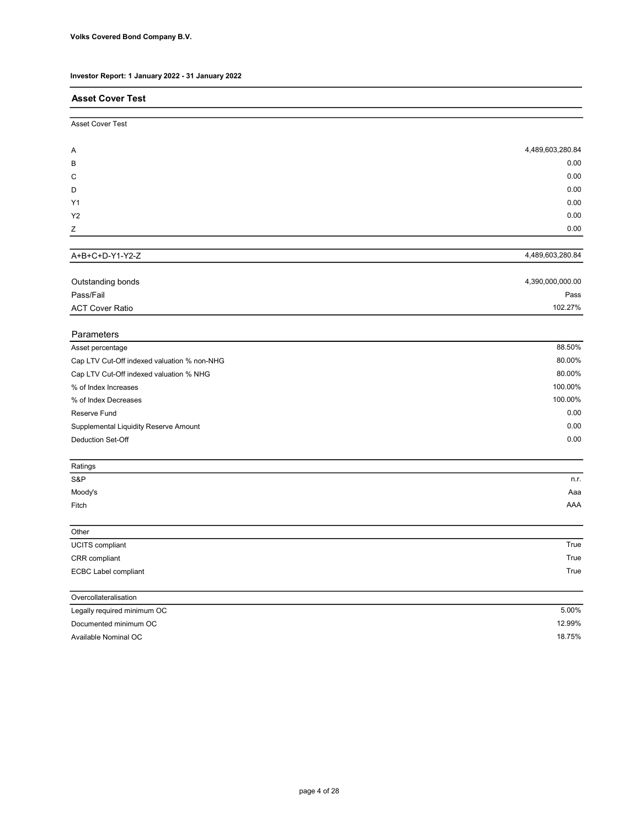| . .                                         |                  |
|---------------------------------------------|------------------|
| <b>Asset Cover Test</b>                     |                  |
| Asset Cover Test                            |                  |
| A                                           | 4,489,603,280.84 |
| в                                           | 0.00             |
| C                                           | 0.00             |
| D                                           | 0.00             |
| Y1                                          | 0.00             |
| Y2                                          | 0.00             |
| Ζ                                           | 0.00             |
| A+B+C+D-Y1-Y2-Z                             | 4,489,603,280.84 |
|                                             |                  |
| Outstanding bonds                           | 4,390,000,000.00 |
| Pass/Fail                                   | Pass             |
| <b>ACT Cover Ratio</b>                      | 102.27%          |
| Parameters                                  |                  |
| Asset percentage                            | 88.50%           |
| Cap LTV Cut-Off indexed valuation % non-NHG | 80.00%           |
| Cap LTV Cut-Off indexed valuation % NHG     | 80.00%           |
| % of Index Increases                        | 100.00%          |
| % of Index Decreases                        | 100.00%          |
| Reserve Fund                                | 0.00             |
| Supplemental Liquidity Reserve Amount       | 0.00             |
| <b>Deduction Set-Off</b>                    | 0.00             |
| Ratings                                     |                  |
| S&P                                         | n.r.             |
| Moody's                                     | Aaa              |
| Fitch                                       | AAA              |
| Other                                       |                  |
| <b>UCITS</b> compliant                      | True             |
| CRR compliant                               | True             |
| <b>ECBC Label compliant</b>                 | True             |
| Overcollateralisation                       |                  |
| Legally required minimum OC                 | 5.00%            |
| Documented minimum OC                       | 12.99%           |
| Available Nominal OC                        | 18.75%           |
|                                             |                  |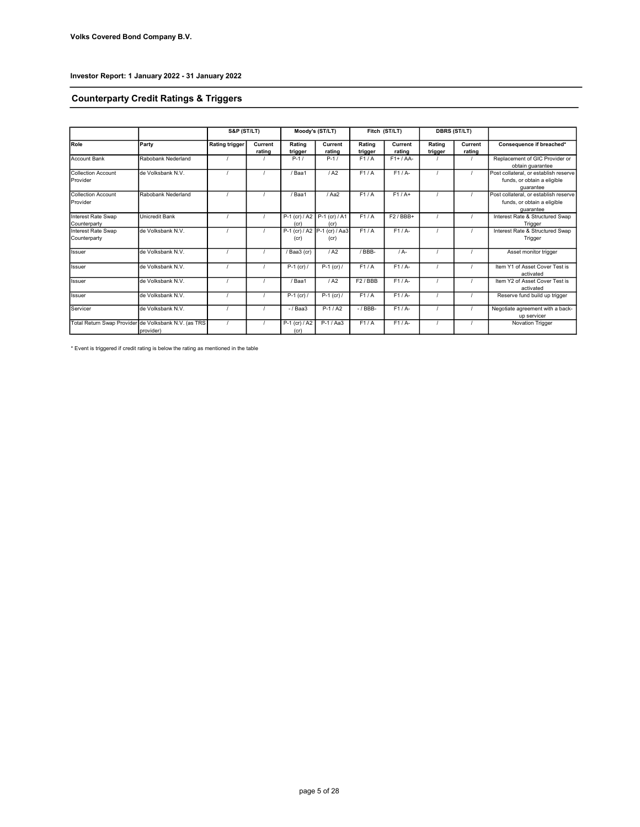# Counterparty Credit Ratings & Triggers

|                                       |                                                                   | <b>S&amp;P (ST/LT)</b> |                   |                       | Moody's (ST/LT)                      |                   | Fitch (ST/LT)     |                   | <b>DBRS (ST/LT)</b> |                                                                                   |  |
|---------------------------------------|-------------------------------------------------------------------|------------------------|-------------------|-----------------------|--------------------------------------|-------------------|-------------------|-------------------|---------------------|-----------------------------------------------------------------------------------|--|
| Role                                  | Party                                                             | <b>Rating trigger</b>  | Current<br>rating | Rating<br>trigger     | Current<br>rating                    | Rating<br>trigger | Current<br>rating | Rating<br>trigger | Current<br>rating   | Consequence if breached*                                                          |  |
| <b>Account Bank</b>                   | Rabobank Nederland                                                |                        |                   | $P-1/$                | $P-1/$                               | F1/A              | $F1+ / AA-$       |                   |                     | Replacement of GIC Provider or<br>obtain guarantee                                |  |
| Collection Account<br>Provider        | de Volksbank N.V.                                                 |                        |                   | / Baa1                | / A2                                 | F1/A              | F1/A              |                   |                     | Post collateral, or establish reserve<br>funds, or obtain a eligible<br>quarantee |  |
| <b>Collection Account</b><br>Provider | Rabobank Nederland                                                |                        |                   | /Baa1                 | / Aa2                                | F1/A              | $F1/A+$           |                   |                     | Post collateral, or establish reserve<br>funds, or obtain a eligible<br>quarantee |  |
| Interest Rate Swap<br>Counterparty    | Unicredit Bank                                                    |                        |                   | (cr)                  | P-1 (cr) / A2 P-1 (cr) / A1<br>(cr)  | F1/A              | $F2/BBB+$         |                   |                     | Interest Rate & Structured Swap<br>Trigger                                        |  |
| Interest Rate Swap<br>Counterparty    | de Volksbank N.V.                                                 |                        |                   | (cr)                  | P-1 (cr) / A2 P-1 (cr) / Aa3<br>(cr) | F1/A              | F1/A              |                   |                     | Interest Rate & Structured Swap<br>Trigger                                        |  |
| <b>Issuer</b>                         | de Volksbank N.V.                                                 |                        |                   | / Baa3 (cr)           | / A2                                 | /BBB-             | $/A -$            |                   |                     | Asset monitor trigger                                                             |  |
| <b>Issuer</b>                         | de Volksbank N.V.                                                 |                        |                   | $P-1$ (cr) /          | $P-1$ (cr) /                         | F1/A              | $F1/A-$           |                   |                     | Item Y1 of Asset Cover Test is<br>activated                                       |  |
| Issuer                                | de Volksbank N.V.                                                 |                        |                   | / Baa1                | 1A2                                  | F2/BBB            | F1/A              |                   |                     | Item Y2 of Asset Cover Test is<br>activated                                       |  |
| Issuer                                | de Volksbank N.V.                                                 |                        |                   | $P-1$ (cr) /          | $P-1$ (cr) /                         | F1/A              | $F1/A-$           |                   |                     | Reserve fund build up trigger                                                     |  |
| Servicer                              | de Volksbank N.V.                                                 |                        |                   | $-$ / Baa3            | $P-1/42$                             | $-$ / BBB $-$     | $F1/A-$           |                   |                     | Negotiate agreement with a back-<br>up servicer                                   |  |
|                                       | Total Return Swap Provider de Volksbank N.V. (as TRS<br>provider) |                        |                   | P-1 (cr) / A2<br>(cr) | P-1 / Aa3                            | F1/A              | $F1/A-$           |                   |                     | Novation Trigger                                                                  |  |

\* Event is triggered if credit rating is below the rating as mentioned in the table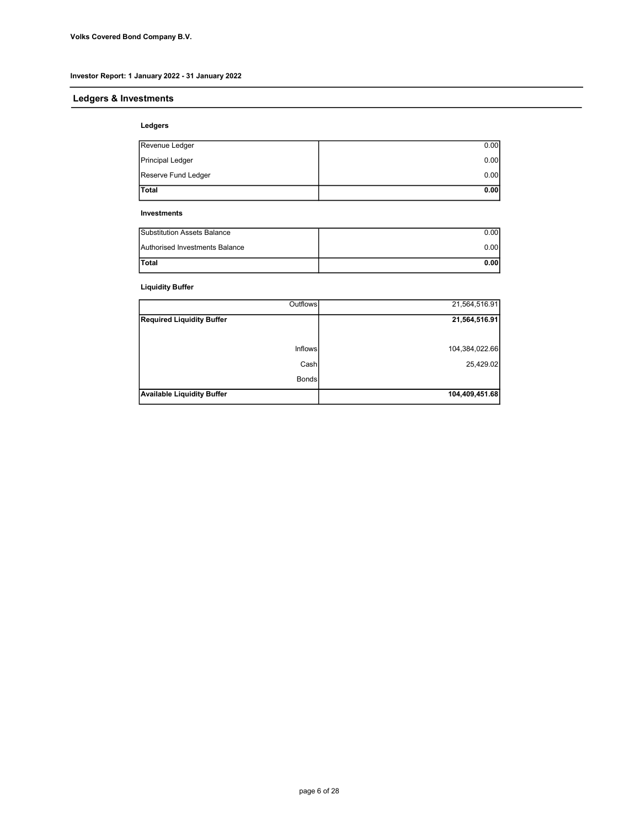# Ledgers & Investments

#### Ledgers

| <b>Total</b>        | 0.00 |
|---------------------|------|
| Reserve Fund Ledger | 0.00 |
| Principal Ledger    | 0.00 |
| Revenue Ledger      | 0.00 |

#### Investments

| Authorised Investments Balance | 0.00 |
|--------------------------------|------|
| <b>Total</b>                   | 0.00 |

# Liquidity Buffer

| Outflows                          | 21,564,516.91  |
|-----------------------------------|----------------|
| <b>Required Liquidity Buffer</b>  | 21,564,516.91  |
|                                   |                |
| <b>Inflows</b>                    | 104,384,022.66 |
| Cash                              | 25,429.02      |
| <b>Bonds</b>                      |                |
| <b>Available Liquidity Buffer</b> | 104,409,451.68 |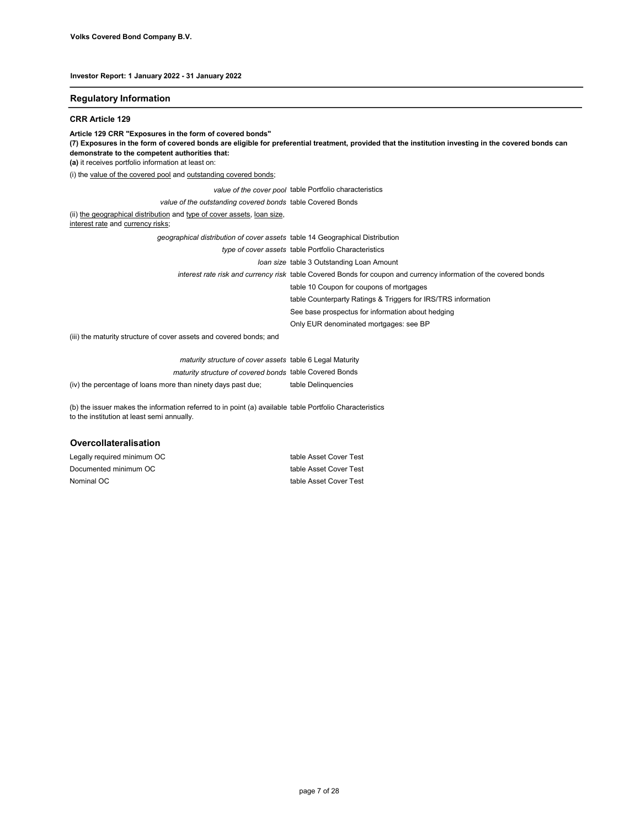#### Regulatory Information

#### CRR Article 129

Article 129 CRR "Exposures in the form of covered bonds"

(7) Exposures in the form of covered bonds are eligible for preferential treatment, provided that the institution investing in the covered bonds can demonstrate to the competent authorities that:

(a) it receives portfolio information at least on:

(i) the value of the covered pool and outstanding covered bonds;

value of the cover pool table Portfolio characteristics

value of the outstanding covered bonds table Covered Bonds

(ii) the geographical distribution and type of cover assets, loan size,

interest rate and currency risks;

interest rate risk and currency risk table Covered Bonds for coupon and currency information of the covered bonds table 10 Coupon for coupons of mortgages geographical distribution of cover assets table 14 Geographical Distribution type of cover assets table Portfolio Characteristics loan size table 3 Outstanding Loan Amount

table Counterparty Ratings & Triggers for IRS/TRS information

See base prospectus for information about hedging

Only EUR denominated mortgages: see BP

(iii) the maturity structure of cover assets and covered bonds; and

| maturity structure of cover assets table 6 Legal Maturity    |                     |
|--------------------------------------------------------------|---------------------|
| maturity structure of covered bonds table Covered Bonds      |                     |
| (iv) the percentage of loans more than ninety days past due; | table Delinguencies |

(b) the issuer makes the information referred to in point (a) available table Portfolio Characteristics to the institution at least semi annually.

#### Overcollateralisation

| Legally required minimum OC | table Asset Cover Test |
|-----------------------------|------------------------|
| Documented minimum OC       | table Asset Cover Test |
| Nominal OC                  | table Asset Cover Test |

page 7 of 28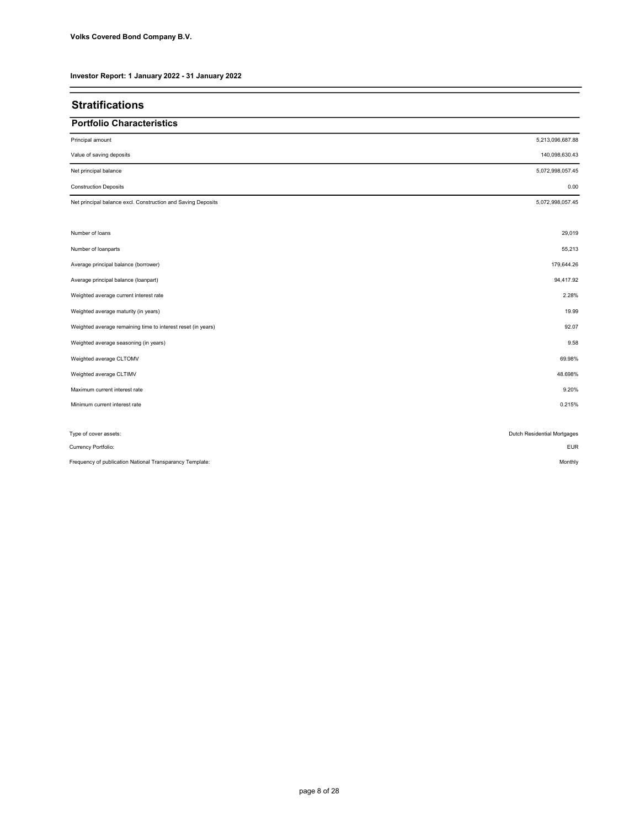| <b>Stratifications</b>                                       |                             |
|--------------------------------------------------------------|-----------------------------|
| <b>Portfolio Characteristics</b>                             |                             |
| Principal amount                                             | 5,213,096,687.88            |
| Value of saving deposits                                     | 140,098,630.43              |
| Net principal balance                                        | 5,072,998,057.45            |
| <b>Construction Deposits</b>                                 | 0.00                        |
| Net principal balance excl. Construction and Saving Deposits | 5,072,998,057.45            |
| Number of loans                                              | 29,019                      |
| Number of loanparts                                          | 55,213                      |
| Average principal balance (borrower)                         | 179,644.26                  |
| Average principal balance (loanpart)                         | 94,417.92                   |
| Weighted average current interest rate                       | 2.28%                       |
| Weighted average maturity (in years)                         | 19.99                       |
| Weighted average remaining time to interest reset (in years) | 92.07                       |
| Weighted average seasoning (in years)                        | 9.58                        |
| Weighted average CLTOMV                                      | 69.98%                      |
| Weighted average CLTIMV                                      | 48.698%                     |
| Maximum current interest rate                                | 9.20%                       |
| Minimum current interest rate                                | 0.215%                      |
| Type of cover assets:                                        | Dutch Residential Mortgages |
| Currency Portfolio:                                          | <b>EUR</b>                  |
| Frequency of publication National Transparancy Template:     | Monthly                     |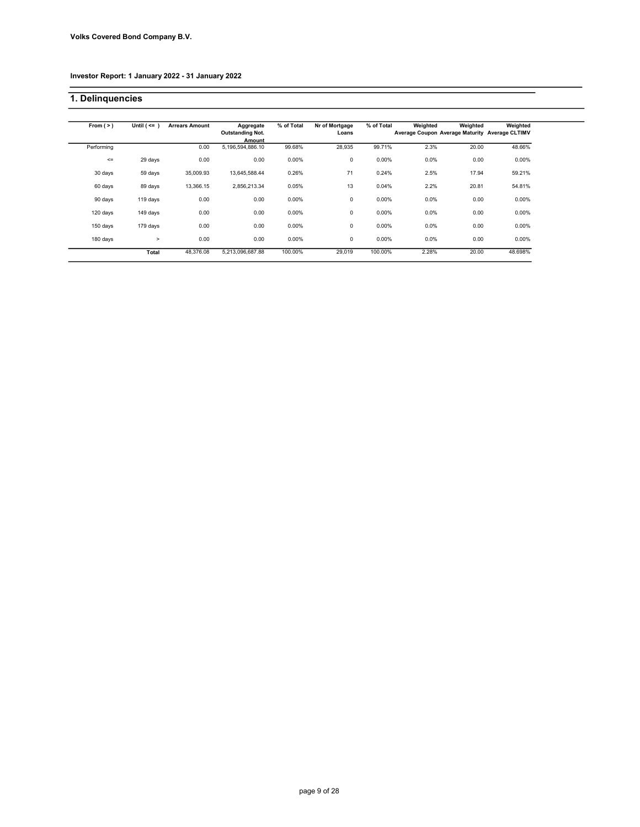# 1. Delinquencies

| From $(>)$ | Until $($ <= $)$ | <b>Arrears Amount</b> | Aggregate<br><b>Outstanding Not.</b> | % of Total | Nr of Mortgage<br>Loans | % of Total | Weighted<br>Average Coupon Average Maturity Average CLTIMV | Weighted | Weighted |
|------------|------------------|-----------------------|--------------------------------------|------------|-------------------------|------------|------------------------------------------------------------|----------|----------|
|            |                  |                       | Amount                               |            |                         |            |                                                            |          |          |
| Performing |                  | 0.00                  | 5,196,594,886.10                     | 99.68%     | 28,935                  | 99.71%     | 2.3%                                                       | 20.00    | 48.66%   |
| $\leq$     | 29 days          | 0.00                  | 0.00                                 | 0.00%      | 0                       | 0.00%      | 0.0%                                                       | 0.00     | 0.00%    |
| 30 days    | 59 days          | 35,009.93             | 13,645,588.44                        | 0.26%      | 71                      | 0.24%      | 2.5%                                                       | 17.94    | 59.21%   |
| 60 days    | 89 days          | 13,366.15             | 2,856,213.34                         | 0.05%      | 13                      | 0.04%      | 2.2%                                                       | 20.81    | 54.81%   |
| 90 days    | 119 days         | 0.00                  | 0.00                                 | 0.00%      | 0                       | 0.00%      | $0.0\%$                                                    | 0.00     | 0.00%    |
| 120 days   | 149 days         | 0.00                  | 0.00                                 | 0.00%      | 0                       | 0.00%      | 0.0%                                                       | 0.00     | 0.00%    |
| 150 days   | 179 days         | 0.00                  | 0.00                                 | 0.00%      | 0                       | 0.00%      | 0.0%                                                       | 0.00     | 0.00%    |
| 180 days   | $\geq$           | 0.00                  | 0.00                                 | 0.00%      | 0                       | 0.00%      | $0.0\%$                                                    | 0.00     | 0.00%    |
|            | Total            | 48,376.08             | 5,213,096,687.88                     | 100.00%    | 29,019                  | 100.00%    | 2.28%                                                      | 20.00    | 48.698%  |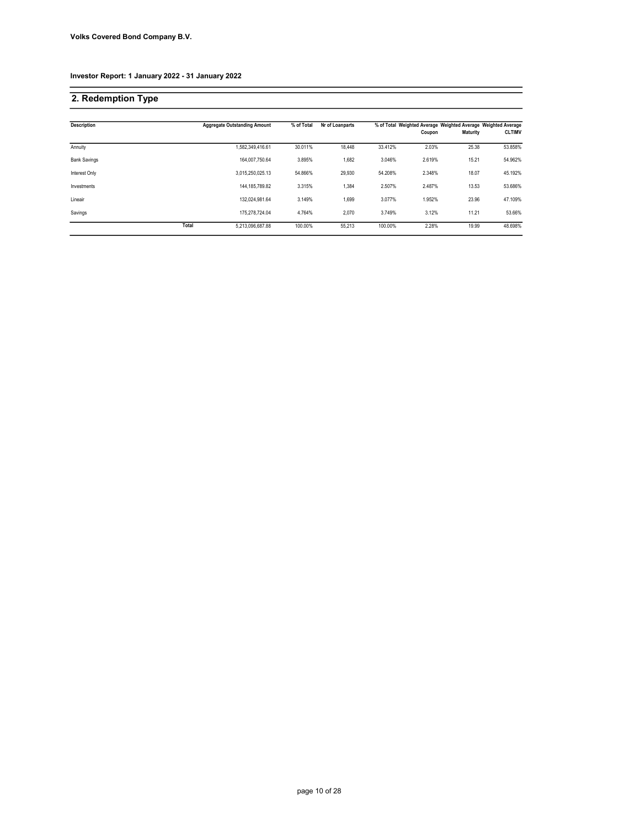# 2. Redemption Type

| <b>Description</b>  |       | <b>Aggregate Outstanding Amount</b> | % of Total | Nr of Loanparts |         |        |                 | % of Total Weighted Average Weighted Average Weighted Average |
|---------------------|-------|-------------------------------------|------------|-----------------|---------|--------|-----------------|---------------------------------------------------------------|
|                     |       |                                     |            |                 |         | Coupon | <b>Maturity</b> | <b>CLTIMV</b>                                                 |
| Annuity             |       | 1,582,349,416.61                    | 30.011%    | 18.448          | 33.412% | 2.03%  | 25.38           | 53.858%                                                       |
| <b>Bank Savings</b> |       | 164.007.750.64                      | 3.895%     | 1.682           | 3.046%  | 2.619% | 15.21           | 54.962%                                                       |
| Interest Only       |       | 3,015,250,025.13                    | 54.866%    | 29.930          | 54.208% | 2.348% | 18.07           | 45.192%                                                       |
| Investments         |       | 144.185.789.82                      | 3.315%     | 1,384           | 2.507%  | 2.487% | 13.53           | 53.686%                                                       |
| Lineair             |       | 132.024.981.64                      | 3.149%     | 1,699           | 3.077%  | 1.952% | 23.96           | 47.109%                                                       |
| Savings             |       | 175.278.724.04                      | 4.764%     | 2.070           | 3.749%  | 3.12%  | 11.21           | 53.66%                                                        |
|                     | Total | 5,213,096,687.88                    | 100.00%    | 55.213          | 100.00% | 2.28%  | 19.99           | 48.698%                                                       |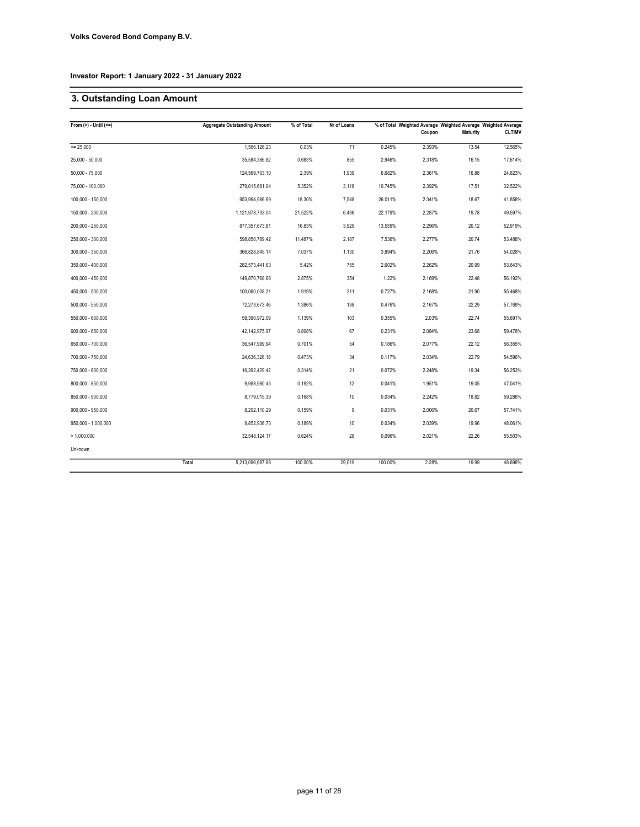# 3. Outstanding Loan Amount

| From $(>) -$ Until $(<=)$ |       | <b>Aggregate Outstanding Amount</b> | % of Total | Nr of Loans |         |        | % of Total Weighted Average Weighted Average Weighted Average |               |
|---------------------------|-------|-------------------------------------|------------|-------------|---------|--------|---------------------------------------------------------------|---------------|
|                           |       |                                     |            |             |         | Coupon | Maturity                                                      | <b>CLTIMV</b> |
| $= 25.000$                |       | 1,566,126.23                        | 0.03%      | 71          | 0.245%  | 2.393% | 13.54                                                         | 12.565%       |
| $25,000 - 50,000$         |       | 35,584,386.82                       | 0.683%     | 855         | 2.946%  | 2.318% | 16.15                                                         | 17.614%       |
| $50,000 - 75,000$         |       | 124,569,703.10                      | 2.39%      | 1,939       | 6.682%  | 2.361% | 16.88                                                         | 24.823%       |
| 75.000 - 100.000          |       | 279,015,681.04                      | 5.352%     | 3,118       | 10.745% | 2.392% | 17.51                                                         | 32.522%       |
| 100,000 - 150,000         |       | 953,994,986.69                      | 18.30%     | 7,548       | 26.011% | 2.341% | 18.67                                                         | 41.858%       |
| 150,000 - 200,000         |       | 1,121,978,733.04                    | 21.522%    | 6,436       | 22.179% | 2.287% | 19.78                                                         | 49.597%       |
| 200,000 - 250,000         |       | 877, 357, 673.81                    | 16.83%     | 3,929       | 13.539% | 2.296% | 20.12                                                         | 52.919%       |
| 250,000 - 300,000         |       | 598,850,789.42                      | 11.487%    | 2,187       | 7.536%  | 2.277% | 20.74                                                         | 53.488%       |
| 300,000 - 350,000         |       | 366,828,845.14                      | 7.037%     | 1,130       | 3.894%  | 2.206% | 21.76                                                         | 54.028%       |
| 350,000 - 400,000         |       | 282,573,441.63                      | 5.42%      | 755         | 2.602%  | 2.262% | 20.99                                                         | 53.643%       |
| 400,000 - 450,000         |       | 149,870,768.68                      | 2.875%     | 354         | 1.22%   | 2.169% | 22.48                                                         | 56.192%       |
| 450,000 - 500,000         |       | 100,060,008.21                      | 1.919%     | 211         | 0.727%  | 2.168% | 21.90                                                         | 55.468%       |
| 500,000 - 550,000         |       | 72,273,673.46                       | 1.386%     | 138         | 0.476%  | 2.167% | 22.29                                                         | 57.769%       |
| 550,000 - 600,000         |       | 59,390,972.09                       | 1.139%     | 103         | 0.355%  | 2.03%  | 22.74                                                         | 55.691%       |
| 600,000 - 650,000         |       | 42,142,975.97                       | 0.808%     | 67          | 0.231%  | 2.084% | 23.68                                                         | 59.478%       |
| 650,000 - 700,000         |       | 36,547,999.94                       | 0.701%     | 54          | 0.186%  | 2.077% | 22.12                                                         | 56.355%       |
| 700,000 - 750,000         |       | 24,636,326.18                       | 0.473%     | 34          | 0.117%  | 2.034% | 22.79                                                         | 54.596%       |
| 750,000 - 800,000         |       | 16,392,429.42                       | 0.314%     | 21          | 0.072%  | 2.248% | 19.34                                                         | 56.253%       |
| 800,000 - 850,000         |       | 9,988,980.43                        | 0.192%     | 12          | 0.041%  | 1.951% | 19.05                                                         | 47.041%       |
| 850,000 - 900,000         |       | 8,779,015.39                        | 0.168%     | $10$        | 0.034%  | 2.242% | 18.82                                                         | 59.286%       |
| 900,000 - 950,000         |       | 8.292.110.29                        | 0.159%     | 9           | 0.031%  | 2.006% | 20.67                                                         | 57.741%       |
| 950,000 - 1,000,000       |       | 9,852,936.73                        | 0.189%     | 10          | 0.034%  | 2.039% | 19.96                                                         | 48.061%       |
| > 1.000.000               |       | 32,548,124.17                       | 0.624%     | 28          | 0.096%  | 2.021% | 22.26                                                         | 55.503%       |
| Unknown                   |       |                                     |            |             |         |        |                                                               |               |
|                           | Total | 5,213,096,687.88                    | 100.00%    | 29,019      | 100.00% | 2.28%  | 19.99                                                         | 48.698%       |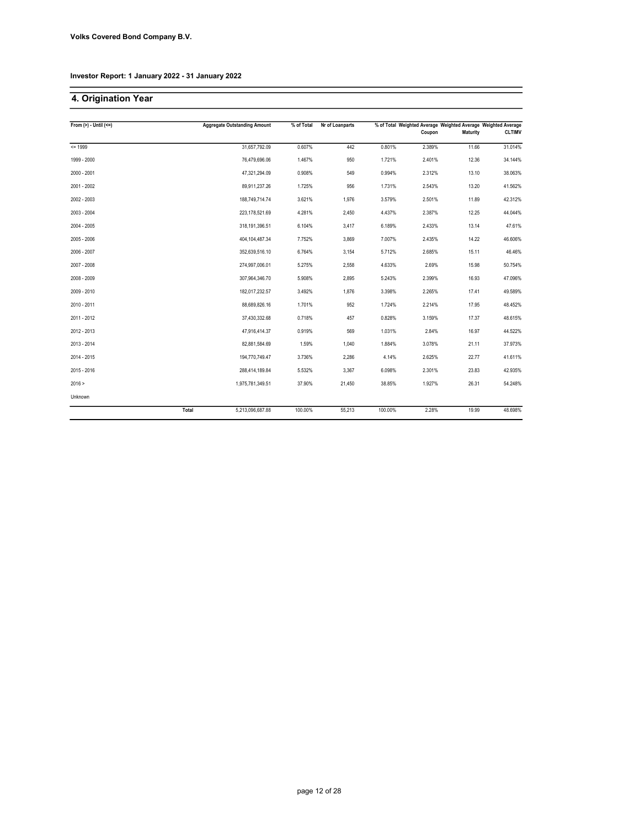# 4. Origination Year

| From $(>) -$ Until $(<=)$ |       | <b>Aggregate Outstanding Amount</b> | % of Total | Nr of Loanparts |         |        | % of Total Weighted Average Weighted Average Weighted Average |               |
|---------------------------|-------|-------------------------------------|------------|-----------------|---------|--------|---------------------------------------------------------------|---------------|
|                           |       |                                     |            |                 |         | Coupon | Maturity                                                      | <b>CLTIMV</b> |
| $= 1999$                  |       | 31,657,792.09                       | 0.607%     | 442             | 0.801%  | 2.389% | 11.66                                                         | 31.014%       |
| 1999 - 2000               |       | 76,479,696.06                       | 1.467%     | 950             | 1.721%  | 2.401% | 12.36                                                         | 34.144%       |
| 2000 - 2001               |       | 47,321,294.09                       | 0.908%     | 549             | 0.994%  | 2.312% | 13.10                                                         | 38.063%       |
| 2001 - 2002               |       | 89,911,237.26                       | 1.725%     | 956             | 1.731%  | 2.543% | 13.20                                                         | 41.562%       |
| 2002 - 2003               |       | 188,749,714.74                      | 3.621%     | 1,976           | 3.579%  | 2.501% | 11.89                                                         | 42.312%       |
| 2003 - 2004               |       | 223,178,521.69                      | 4.281%     | 2,450           | 4.437%  | 2.387% | 12.25                                                         | 44.044%       |
| 2004 - 2005               |       | 318,191,396.51                      | 6.104%     | 3,417           | 6.189%  | 2.433% | 13.14                                                         | 47.61%        |
| 2005 - 2006               |       | 404,104,487.34                      | 7.752%     | 3,869           | 7.007%  | 2.435% | 14.22                                                         | 46.606%       |
| 2006 - 2007               |       | 352,639,516.10                      | 6.764%     | 3,154           | 5.712%  | 2.685% | 15.11                                                         | 46.46%        |
| 2007 - 2008               |       | 274,997,006.01                      | 5.275%     | 2,558           | 4.633%  | 2.69%  | 15.98                                                         | 50.754%       |
| 2008 - 2009               |       | 307,964,346.70                      | 5.908%     | 2,895           | 5.243%  | 2.399% | 16.93                                                         | 47.096%       |
| 2009 - 2010               |       | 182,017,232.57                      | 3.492%     | 1,876           | 3.398%  | 2.265% | 17.41                                                         | 49.589%       |
| 2010 - 2011               |       | 88,689,826.16                       | 1.701%     | 952             | 1.724%  | 2.214% | 17.95                                                         | 48.452%       |
| 2011 - 2012               |       | 37,430,332.68                       | 0.718%     | 457             | 0.828%  | 3.159% | 17.37                                                         | 48.615%       |
| 2012 - 2013               |       | 47,916,414.37                       | 0.919%     | 569             | 1.031%  | 2.84%  | 16.97                                                         | 44.522%       |
| 2013 - 2014               |       | 82.881.584.69                       | 1.59%      | 1,040           | 1.884%  | 3.078% | 21.11                                                         | 37.973%       |
| 2014 - 2015               |       | 194,770,749.47                      | 3.736%     | 2,286           | 4.14%   | 2.625% | 22.77                                                         | 41.611%       |
| 2015 - 2016               |       | 288,414,189.84                      | 5.532%     | 3,367           | 6.098%  | 2.301% | 23.83                                                         | 42.935%       |
| 2016 >                    |       | 1,975,781,349.51                    | 37.90%     | 21,450          | 38.85%  | 1.927% | 26.31                                                         | 54.248%       |
| Unknown                   |       |                                     |            |                 |         |        |                                                               |               |
|                           | Total | 5,213,096,687.88                    | 100.00%    | 55,213          | 100.00% | 2.28%  | 19.99                                                         | 48.698%       |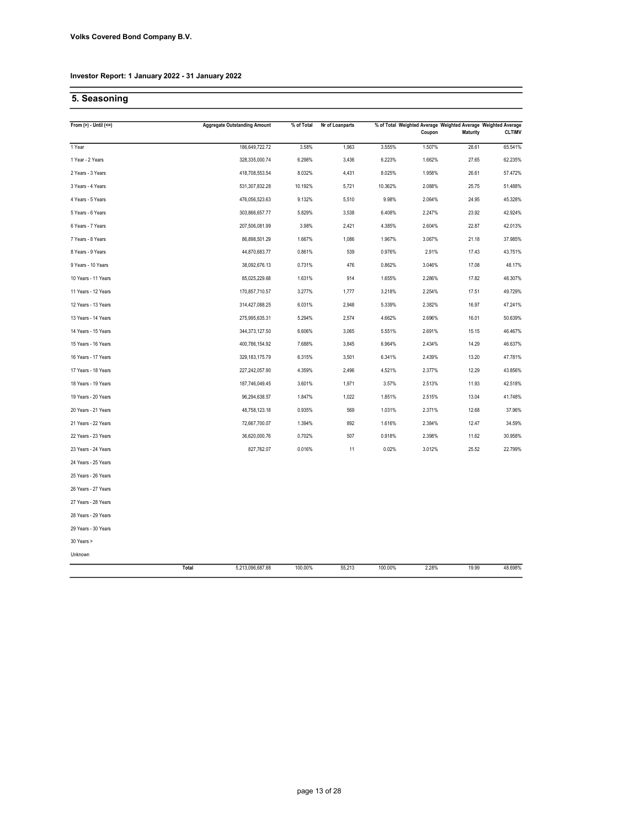# 5. Seasoning

| From $(>) -$ Until $(<=)$ | <b>Aggregate Outstanding Amount</b> | % of Total | Nr of Loanparts |         |        |                 | % of Total Weighted Average Weighted Average Weighted Average |
|---------------------------|-------------------------------------|------------|-----------------|---------|--------|-----------------|---------------------------------------------------------------|
|                           |                                     |            |                 |         | Coupon | <b>Maturity</b> | <b>CLTIMV</b>                                                 |
| 1 Year                    | 186,649,722.72                      | 3.58%      | 1,963           | 3.555%  | 1.507% | 28.61           | 65.541%                                                       |
| 1 Year - 2 Years          | 328,335,000.74                      | 6.298%     | 3,436           | 6.223%  | 1.662% | 27.65           | 62.235%                                                       |
| 2 Years - 3 Years         | 418,708,553.54                      | 8.032%     | 4,431           | 8.025%  | 1.958% | 26.61           | 57.472%                                                       |
| 3 Years - 4 Years         | 531,307,832.28                      | 10.192%    | 5,721           | 10.362% | 2.088% | 25.75           | 51.488%                                                       |
| 4 Years - 5 Years         | 476,056,523.63                      | 9.132%     | 5,510           | 9.98%   | 2.064% | 24.95           | 45.328%                                                       |
| 5 Years - 6 Years         | 303,866,657.77                      | 5.829%     | 3,538           | 6.408%  | 2.247% | 23.92           | 42.924%                                                       |
| 6 Years - 7 Years         | 207,506,081.99                      | 3.98%      | 2,421           | 4.385%  | 2.604% | 22.87           | 42.013%                                                       |
| 7 Years - 8 Years         | 86,898,501.29                       | 1.667%     | 1,086           | 1.967%  | 3.067% | 21.18           | 37.985%                                                       |
| 8 Years - 9 Years         | 44,870,683.77                       | 0.861%     | 539             | 0.976%  | 2.91%  | 17.43           | 43.751%                                                       |
| 9 Years - 10 Years        | 38,092,676.13                       | 0.731%     | 476             | 0.862%  | 3.046% | 17.08           | 48.17%                                                        |
| 10 Years - 11 Years       | 85,025,229.68                       | 1.631%     | 914             | 1.655%  | 2.286% | 17.82           | 48.307%                                                       |
| 11 Years - 12 Years       | 170,857,710.57                      | 3.277%     | 1,777           | 3.218%  | 2.254% | 17.51           | 49.729%                                                       |
| 12 Years - 13 Years       | 314,427,088.25                      | 6.031%     | 2,948           | 5.339%  | 2.382% | 16.97           | 47.241%                                                       |
| 13 Years - 14 Years       | 275,995,635.31                      | 5.294%     | 2,574           | 4.662%  | 2.696% | 16.01           | 50.639%                                                       |
| 14 Years - 15 Years       | 344,373,127.50                      | 6.606%     | 3,065           | 5.551%  | 2.691% | 15.15           | 46.467%                                                       |
| 15 Years - 16 Years       | 400,786,154.92                      | 7.688%     | 3,845           | 6.964%  | 2.434% | 14.29           | 46.637%                                                       |
| 16 Years - 17 Years       | 329, 183, 175.79                    | 6.315%     | 3,501           | 6.341%  | 2.439% | 13.20           | 47.781%                                                       |
| 17 Years - 18 Years       | 227,242,057.90                      | 4.359%     | 2,496           | 4.521%  | 2.377% | 12.29           | 43.856%                                                       |
| 18 Years - 19 Years       | 187,746,049.45                      | 3.601%     | 1,971           | 3.57%   | 2.513% | 11.93           | 42.518%                                                       |
| 19 Years - 20 Years       | 96,294,638.57                       | 1.847%     | 1,022           | 1.851%  | 2.515% | 13.04           | 41.748%                                                       |
| 20 Years - 21 Years       | 48,758,123.18                       | 0.935%     | 569             | 1.031%  | 2.371% | 12.68           | 37.96%                                                        |
| 21 Years - 22 Years       | 72,667,700.07                       | 1.394%     | 892             | 1.616%  | 2.384% | 12.47           | 34.59%                                                        |
| 22 Years - 23 Years       | 36,620,000.76                       | 0.702%     | 507             | 0.918%  | 2.398% | 11.62           | 30.958%                                                       |
| 23 Years - 24 Years       | 827,762.07                          | 0.016%     | 11              | 0.02%   | 3.012% | 25.52           | 22.799%                                                       |
| 24 Years - 25 Years       |                                     |            |                 |         |        |                 |                                                               |
| 25 Years - 26 Years       |                                     |            |                 |         |        |                 |                                                               |
| 26 Years - 27 Years       |                                     |            |                 |         |        |                 |                                                               |
| 27 Years - 28 Years       |                                     |            |                 |         |        |                 |                                                               |
| 28 Years - 29 Years       |                                     |            |                 |         |        |                 |                                                               |
| 29 Years - 30 Years       |                                     |            |                 |         |        |                 |                                                               |
| 30 Years >                |                                     |            |                 |         |        |                 |                                                               |
| Unknown                   |                                     |            |                 |         |        |                 |                                                               |
|                           | Total<br>5,213,096,687.88           | 100.00%    | 55,213          | 100.00% | 2.28%  | 19.99           | 48.698%                                                       |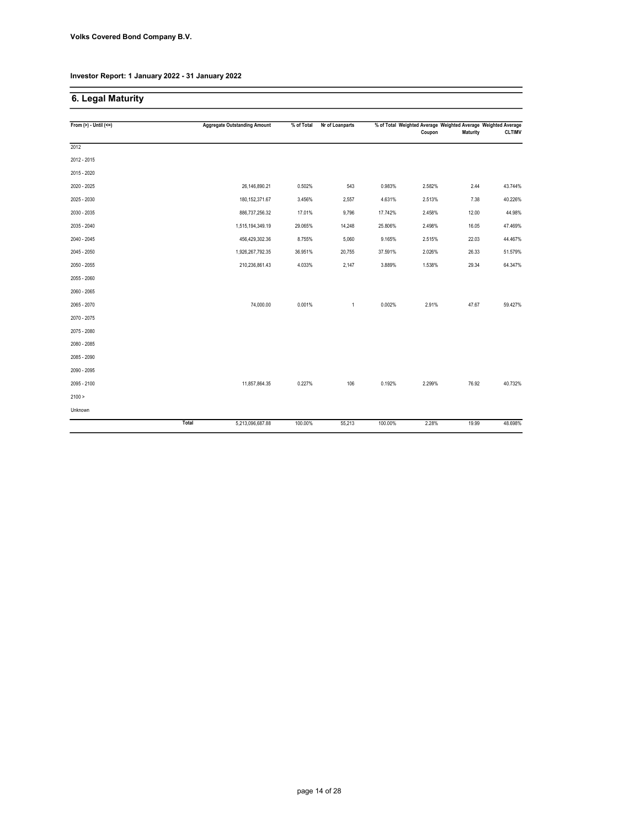# 6. Legal Maturity

| From $(>) -$ Until $(<=)$ |       | <b>Aggregate Outstanding Amount</b> | % of Total | Nr of Loanparts |         | % of Total Weighted Average Weighted Average Weighted Average<br>Coupon | <b>Maturity</b> | <b>CLTIMV</b> |
|---------------------------|-------|-------------------------------------|------------|-----------------|---------|-------------------------------------------------------------------------|-----------------|---------------|
| 2012                      |       |                                     |            |                 |         |                                                                         |                 |               |
| 2012 - 2015               |       |                                     |            |                 |         |                                                                         |                 |               |
| 2015 - 2020               |       |                                     |            |                 |         |                                                                         |                 |               |
| 2020 - 2025               |       | 26,146,890.21                       | 0.502%     | 543             | 0.983%  | 2.582%                                                                  | 2.44            | 43.744%       |
| 2025 - 2030               |       | 180, 152, 371.67                    | 3.456%     | 2,557           | 4.631%  | 2.513%                                                                  | 7.38            | 40.226%       |
| 2030 - 2035               |       | 886,737,256.32                      | 17.01%     | 9,796           | 17.742% | 2.458%                                                                  | 12.00           | 44.98%        |
| 2035 - 2040               |       | 1,515,194,349.19                    | 29.065%    | 14,248          | 25.806% | 2.498%                                                                  | 16.05           | 47.469%       |
| 2040 - 2045               |       | 456,429,302.36                      | 8.755%     | 5,060           | 9.165%  | 2.515%                                                                  | 22.03           | 44.467%       |
| 2045 - 2050               |       | 1,926,267,792.35                    | 36.951%    | 20,755          | 37.591% | 2.026%                                                                  | 26.33           | 51.579%       |
| 2050 - 2055               |       | 210,236,861.43                      | 4.033%     | 2,147           | 3.889%  | 1.538%                                                                  | 29.34           | 64.347%       |
| 2055 - 2060               |       |                                     |            |                 |         |                                                                         |                 |               |
| 2060 - 2065               |       |                                     |            |                 |         |                                                                         |                 |               |
| 2065 - 2070               |       | 74,000.00                           | 0.001%     | $\mathbf{1}$    | 0.002%  | 2.91%                                                                   | 47.67           | 59.427%       |
| 2070 - 2075               |       |                                     |            |                 |         |                                                                         |                 |               |
| 2075 - 2080               |       |                                     |            |                 |         |                                                                         |                 |               |
| 2080 - 2085               |       |                                     |            |                 |         |                                                                         |                 |               |
| 2085 - 2090               |       |                                     |            |                 |         |                                                                         |                 |               |
| 2090 - 2095               |       |                                     |            |                 |         |                                                                         |                 |               |
| 2095 - 2100               |       | 11,857,864.35                       | 0.227%     | 106             | 0.192%  | 2.299%                                                                  | 76.92           | 40.732%       |
| 2100 >                    |       |                                     |            |                 |         |                                                                         |                 |               |
| Unknown                   |       |                                     |            |                 |         |                                                                         |                 |               |
|                           | Total | 5,213,096,687.88                    | 100.00%    | 55,213          | 100.00% | 2.28%                                                                   | 19.99           | 48.698%       |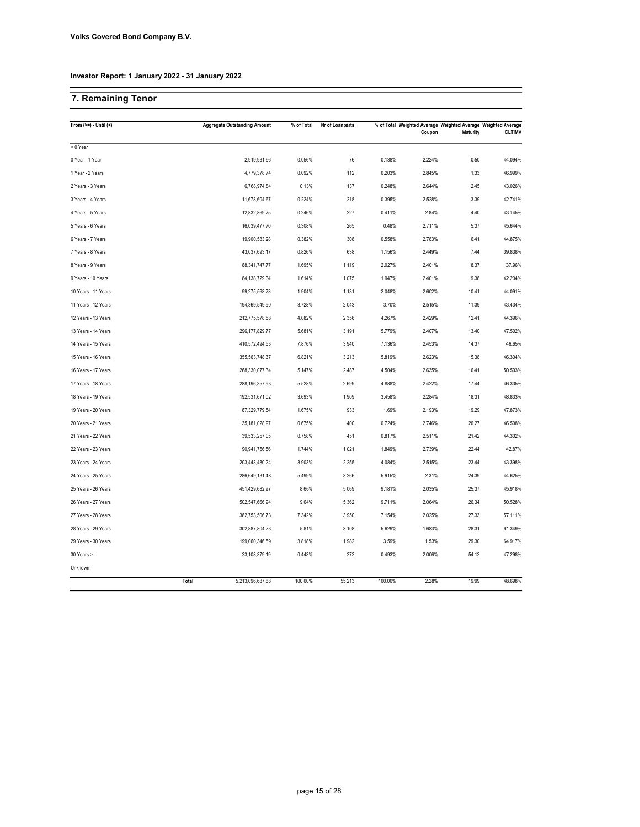# 7. Remaining Tenor

| From $(>=) -$ Until $($ | <b>Aggregate Outstanding Amount</b> | % of Total | Nr of Loanparts |         | % of Total Weighted Average Weighted Average Weighted Average |                 |               |  |
|-------------------------|-------------------------------------|------------|-----------------|---------|---------------------------------------------------------------|-----------------|---------------|--|
|                         |                                     |            |                 |         | Coupon                                                        | <b>Maturity</b> | <b>CLTIMV</b> |  |
| $< 0$ Year              |                                     |            |                 |         |                                                               |                 |               |  |
| 0 Year - 1 Year         | 2,919,931.96                        | 0.056%     | 76              | 0.138%  | 2.224%                                                        | 0.50            | 44.094%       |  |
| 1 Year - 2 Years        | 4,779,378.74                        | 0.092%     | 112             | 0.203%  | 2.845%                                                        | 1.33            | 46.999%       |  |
| 2 Years - 3 Years       | 6,768,974.84                        | 0.13%      | 137             | 0.248%  | 2.644%                                                        | 2.45            | 43.026%       |  |
| 3 Years - 4 Years       | 11,678,604.67                       | 0.224%     | 218             | 0.395%  | 2.528%                                                        | 3.39            | 42.741%       |  |
| 4 Years - 5 Years       | 12,832,869.75                       | 0.246%     | 227             | 0.411%  | 2.84%                                                         | 4.40            | 43.145%       |  |
| 5 Years - 6 Years       | 16,039,477.70                       | 0.308%     | 265             | 0.48%   | 2.711%                                                        | 5.37            | 45.644%       |  |
| 6 Years - 7 Years       | 19,900,583.28                       | 0.382%     | 308             | 0.558%  | 2.783%                                                        | 6.41            | 44.875%       |  |
| 7 Years - 8 Years       | 43,037,693.17                       | 0.826%     | 638             | 1.156%  | 2.449%                                                        | 7.44            | 39.838%       |  |
| 8 Years - 9 Years       | 88, 341, 747. 77                    | 1.695%     | 1,119           | 2.027%  | 2.401%                                                        | 8.37            | 37.96%        |  |
| 9 Years - 10 Years      | 84, 138, 729. 34                    | 1.614%     | 1,075           | 1.947%  | 2.401%                                                        | 9.38            | 42.204%       |  |
| 10 Years - 11 Years     | 99,275,568.73                       | 1.904%     | 1,131           | 2.048%  | 2.602%                                                        | 10.41           | 44.091%       |  |
| 11 Years - 12 Years     | 194,369,549.90                      | 3.728%     | 2,043           | 3.70%   | 2.515%                                                        | 11.39           | 43.434%       |  |
| 12 Years - 13 Years     | 212,775,578.58                      | 4.082%     | 2,356           | 4.267%  | 2.429%                                                        | 12.41           | 44.396%       |  |
| 13 Years - 14 Years     | 296, 177, 829. 77                   | 5.681%     | 3,191           | 5.779%  | 2.407%                                                        | 13.40           | 47.502%       |  |
| 14 Years - 15 Years     | 410,572,494.53                      | 7.876%     | 3,940           | 7.136%  | 2.453%                                                        | 14.37           | 46.65%        |  |
| 15 Years - 16 Years     | 355,563,748.37                      | 6.821%     | 3,213           | 5.819%  | 2.623%                                                        | 15.38           | 46.304%       |  |
| 16 Years - 17 Years     | 268,330,077.34                      | 5.147%     | 2,487           | 4.504%  | 2.635%                                                        | 16.41           | 50.503%       |  |
| 17 Years - 18 Years     | 288,196,357.93                      | 5.528%     | 2,699           | 4.888%  | 2.422%                                                        | 17.44           | 46.335%       |  |
| 18 Years - 19 Years     | 192,531,671.02                      | 3.693%     | 1,909           | 3.458%  | 2.284%                                                        | 18.31           | 48.833%       |  |
| 19 Years - 20 Years     | 87,329,779.54                       | 1.675%     | 933             | 1.69%   | 2.193%                                                        | 19.29           | 47.873%       |  |
| 20 Years - 21 Years     | 35, 181, 028.97                     | 0.675%     | 400             | 0.724%  | 2.746%                                                        | 20.27           | 46.508%       |  |
| 21 Years - 22 Years     | 39,533,257.05                       | 0.758%     | 451             | 0.817%  | 2.511%                                                        | 21.42           | 44.302%       |  |
| 22 Years - 23 Years     | 90,941,756.56                       | 1.744%     | 1,021           | 1.849%  | 2.739%                                                        | 22.44           | 42.87%        |  |
| 23 Years - 24 Years     | 203,443,480.24                      | 3.903%     | 2,255           | 4.084%  | 2.515%                                                        | 23.44           | 43.398%       |  |
| 24 Years - 25 Years     | 286,649,131.48                      | 5.499%     | 3,266           | 5.915%  | 2.31%                                                         | 24.39           | 44.625%       |  |
| 25 Years - 26 Years     | 451,429,682.97                      | 8.66%      | 5,069           | 9.181%  | 2.035%                                                        | 25.37           | 45.918%       |  |
| 26 Years - 27 Years     | 502,547,666.94                      | 9.64%      | 5,362           | 9.711%  | 2.064%                                                        | 26.34           | 50.528%       |  |
| 27 Years - 28 Years     | 382,753,506.73                      | 7.342%     | 3,950           | 7.154%  | 2.025%                                                        | 27.33           | 57.111%       |  |
| 28 Years - 29 Years     | 302,887,804.23                      | 5.81%      | 3,108           | 5.629%  | 1.683%                                                        | 28.31           | 61.349%       |  |
| 29 Years - 30 Years     | 199,060,346.59                      | 3.818%     | 1,982           | 3.59%   | 1.53%                                                         | 29.30           | 64.917%       |  |
| 30 Years >=             | 23,108,379.19                       | 0.443%     | 272             | 0.493%  | 2.006%                                                        | 54.12           | 47.298%       |  |
| Unknown                 |                                     |            |                 |         |                                                               |                 |               |  |
|                         | Total<br>5,213,096,687.88           | 100.00%    | 55,213          | 100.00% | 2.28%                                                         | 19.99           | 48.698%       |  |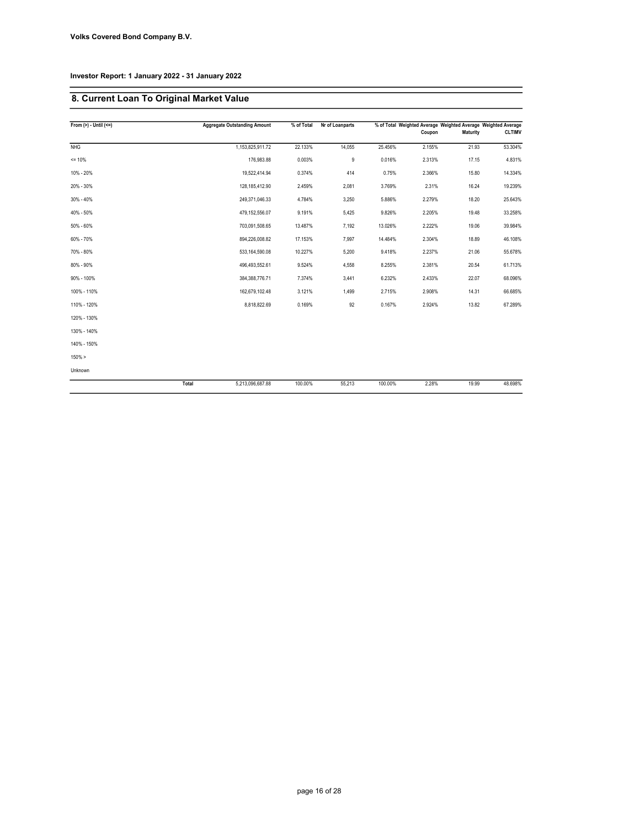# 8. Current Loan To Original Market Value

| From $(>) -$ Until $(<=)$ |       | <b>Aggregate Outstanding Amount</b> | % of Total | Nr of Loanparts |         | % of Total Weighted Average Weighted Average Weighted Average |          |               |
|---------------------------|-------|-------------------------------------|------------|-----------------|---------|---------------------------------------------------------------|----------|---------------|
|                           |       |                                     |            |                 |         | Coupon                                                        | Maturity | <b>CLTIMV</b> |
| <b>NHG</b>                |       | 1,153,825,911.72                    | 22.133%    | 14,055          | 25.456% | 2.155%                                                        | 21.93    | 53.304%       |
| $= 10%$                   |       | 176,983.88                          | 0.003%     | 9               | 0.016%  | 2.313%                                                        | 17.15    | 4.831%        |
| 10% - 20%                 |       | 19,522,414.94                       | 0.374%     | 414             | 0.75%   | 2.366%                                                        | 15.80    | 14.334%       |
| 20% - 30%                 |       | 128,185,412.90                      | 2.459%     | 2,081           | 3.769%  | 2.31%                                                         | 16.24    | 19.239%       |
| $30\% - 40\%$             |       | 249,371,046.33                      | 4.784%     | 3,250           | 5.886%  | 2.279%                                                        | 18.20    | 25.643%       |
| 40% - 50%                 |       | 479,152,556.07                      | 9.191%     | 5,425           | 9.826%  | 2.205%                                                        | 19.48    | 33.258%       |
| 50% - 60%                 |       | 703,091,508.65                      | 13.487%    | 7,192           | 13.026% | 2.222%                                                        | 19.06    | 39.984%       |
| 60% - 70%                 |       | 894,226,008.82                      | 17.153%    | 7,997           | 14.484% | 2.304%                                                        | 18.89    | 46.108%       |
| 70% - 80%                 |       | 533,164,590.08                      | 10.227%    | 5,200           | 9.418%  | 2.237%                                                        | 21.06    | 55.678%       |
| 80% - 90%                 |       | 496,493,552.61                      | 9.524%     | 4,558           | 8.255%  | 2.381%                                                        | 20.54    | 61.713%       |
| 90% - 100%                |       | 384, 388, 776. 71                   | 7.374%     | 3,441           | 6.232%  | 2.433%                                                        | 22.07    | 68.096%       |
| 100% - 110%               |       | 162,679,102.48                      | 3.121%     | 1,499           | 2.715%  | 2.908%                                                        | 14.31    | 66.685%       |
| 110% - 120%               |       | 8,818,822.69                        | 0.169%     | 92              | 0.167%  | 2.924%                                                        | 13.82    | 67.289%       |
| 120% - 130%               |       |                                     |            |                 |         |                                                               |          |               |
| 130% - 140%               |       |                                     |            |                 |         |                                                               |          |               |
| 140% - 150%               |       |                                     |            |                 |         |                                                               |          |               |
| $150\% >$                 |       |                                     |            |                 |         |                                                               |          |               |
| Unknown                   |       |                                     |            |                 |         |                                                               |          |               |
|                           | Total | 5,213,096,687.88                    | 100.00%    | 55,213          | 100.00% | 2.28%                                                         | 19.99    | 48.698%       |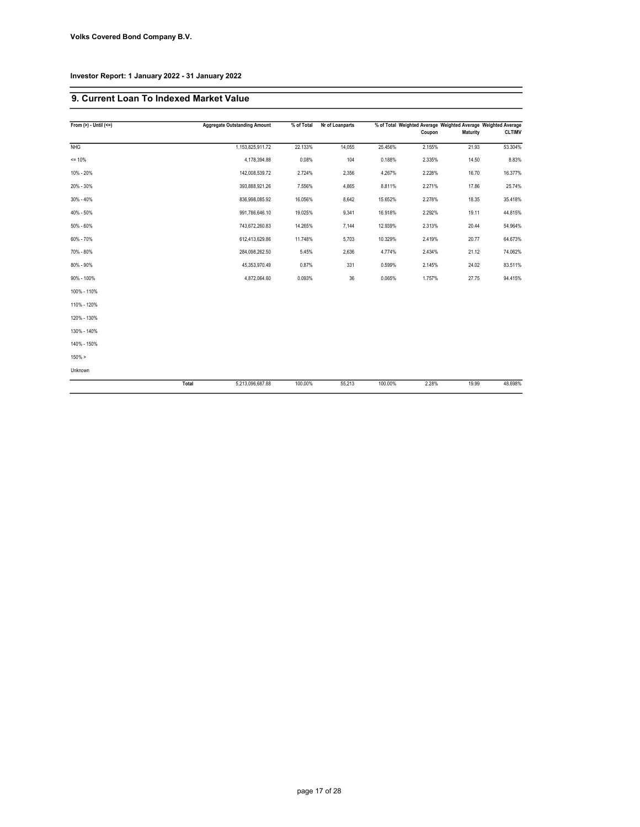# 9. Current Loan To Indexed Market Value

| From $(>) -$ Until $(<=)$ |       | <b>Aggregate Outstanding Amount</b> | % of Total | Nr of Loanparts |         | % of Total Weighted Average Weighted Average Weighted Average |                 |               |
|---------------------------|-------|-------------------------------------|------------|-----------------|---------|---------------------------------------------------------------|-----------------|---------------|
|                           |       |                                     |            |                 |         | Coupon                                                        | <b>Maturity</b> | <b>CLTIMV</b> |
| <b>NHG</b>                |       | 1,153,825,911.72                    | 22.133%    | 14,055          | 25.456% | 2.155%                                                        | 21.93           | 53.304%       |
| $= 10%$                   |       | 4,178,394.88                        | 0.08%      | 104             | 0.188%  | 2.335%                                                        | 14.50           | 8.83%         |
| 10% - 20%                 |       | 142,008,539.72                      | 2.724%     | 2,356           | 4.267%  | 2.228%                                                        | 16.70           | 16.377%       |
| 20% - 30%                 |       | 393,888,921.26                      | 7.556%     | 4,865           | 8.811%  | 2.271%                                                        | 17.86           | 25.74%        |
| $30\% - 40\%$             |       | 836,998,085.92                      | 16.056%    | 8,642           | 15.652% | 2.278%                                                        | 18.35           | 35.418%       |
| 40% - 50%                 |       | 991,786,646.10                      | 19.025%    | 9,341           | 16.918% | 2.292%                                                        | 19.11           | 44.815%       |
| 50% - 60%                 |       | 743,672,260.83                      | 14.265%    | 7,144           | 12.939% | 2.313%                                                        | 20.44           | 54.964%       |
| 60% - 70%                 |       | 612,413,629.86                      | 11.748%    | 5,703           | 10.329% | 2.419%                                                        | 20.77           | 64.673%       |
| 70% - 80%                 |       | 284,098,262.50                      | 5.45%      | 2,636           | 4.774%  | 2.434%                                                        | 21.12           | 74.062%       |
| 80% - 90%                 |       | 45,353,970.49                       | 0.87%      | 331             | 0.599%  | 2.145%                                                        | 24.02           | 83.511%       |
| 90% - 100%                |       | 4,872,064.60                        | 0.093%     | 36              | 0.065%  | 1.757%                                                        | 27.75           | 94.415%       |
| 100% - 110%               |       |                                     |            |                 |         |                                                               |                 |               |
| 110% - 120%               |       |                                     |            |                 |         |                                                               |                 |               |
| 120% - 130%               |       |                                     |            |                 |         |                                                               |                 |               |
| 130% - 140%               |       |                                     |            |                 |         |                                                               |                 |               |
| 140% - 150%               |       |                                     |            |                 |         |                                                               |                 |               |
| $150\% >$                 |       |                                     |            |                 |         |                                                               |                 |               |
| Unknown                   |       |                                     |            |                 |         |                                                               |                 |               |
|                           | Total | 5,213,096,687.88                    | 100.00%    | 55,213          | 100.00% | 2.28%                                                         | 19.99           | 48.698%       |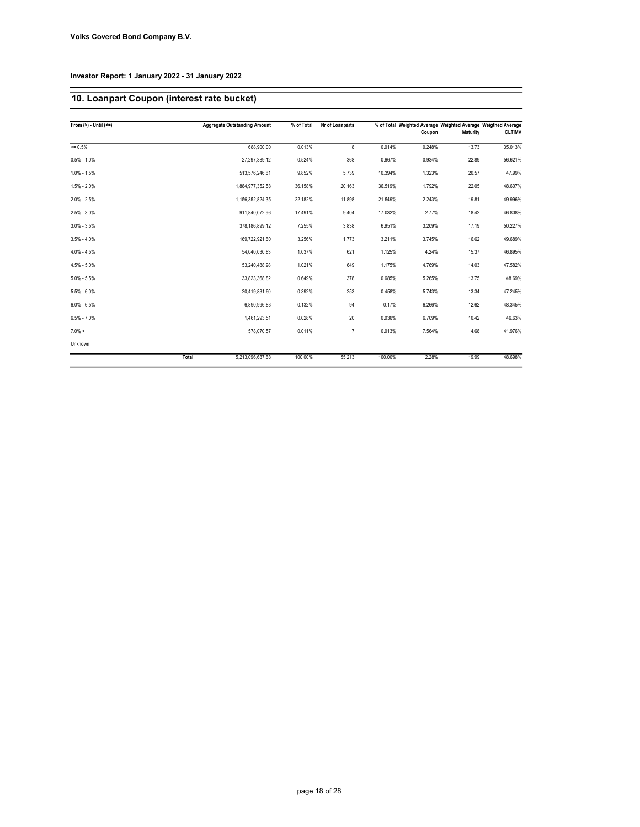# 10. Loanpart Coupon (interest rate bucket)

| From $(>)$ - Until $(<=)$ |       | <b>Aggregate Outstanding Amount</b> | % of Total | Nr of Loanparts |         |        |          | % of Total Weighted Average Weighted Average Weigthed Average |
|---------------------------|-------|-------------------------------------|------------|-----------------|---------|--------|----------|---------------------------------------------------------------|
|                           |       |                                     |            |                 |         | Coupon | Maturity | <b>CLTIMV</b>                                                 |
| $= 0.5%$                  |       | 688.900.00                          | 0.013%     | 8               | 0.014%  | 0.248% | 13.73    | 35.013%                                                       |
| $0.5\% - 1.0\%$           |       | 27,297,389.12                       | 0.524%     | 368             | 0.667%  | 0.934% | 22.89    | 56.621%                                                       |
| $1.0\% - 1.5\%$           |       | 513,576,246.81                      | 9.852%     | 5,739           | 10.394% | 1.323% | 20.57    | 47.99%                                                        |
| $1.5\% - 2.0\%$           |       | 1,884,977,352.58                    | 36.158%    | 20,163          | 36.519% | 1.792% | 22.05    | 48.607%                                                       |
| $2.0\% - 2.5\%$           |       | 1,156,352,824.35                    | 22.182%    | 11,898          | 21.549% | 2.243% | 19.81    | 49.996%                                                       |
| $2.5\% - 3.0\%$           |       | 911,840,072.96                      | 17.491%    | 9,404           | 17.032% | 2.77%  | 18.42    | 46.808%                                                       |
| $3.0\% - 3.5\%$           |       | 378,186,899.12                      | 7.255%     | 3,838           | 6.951%  | 3.209% | 17.19    | 50.227%                                                       |
| $3.5\% - 4.0\%$           |       | 169,722,921.80                      | 3.256%     | 1.773           | 3.211%  | 3.745% | 16.62    | 49.689%                                                       |
| $4.0\% - 4.5\%$           |       | 54,040,030.83                       | 1.037%     | 621             | 1.125%  | 4.24%  | 15.37    | 46.895%                                                       |
| $4.5\% - 5.0\%$           |       | 53,240,488.98                       | 1.021%     | 649             | 1.175%  | 4.769% | 14.03    | 47.582%                                                       |
| $5.0\% - 5.5\%$           |       | 33,823,368.82                       | 0.649%     | 378             | 0.685%  | 5.265% | 13.75    | 48.69%                                                        |
| $5.5\% - 6.0\%$           |       | 20.419.831.60                       | 0.392%     | 253             | 0.458%  | 5.743% | 13.34    | 47.245%                                                       |
| $6.0\% - 6.5\%$           |       | 6,890,996.83                        | 0.132%     | 94              | 0.17%   | 6.266% | 12.62    | 48.345%                                                       |
| $6.5\% - 7.0\%$           |       | 1,461,293.51                        | 0.028%     | 20              | 0.036%  | 6.709% | 10.42    | 46.63%                                                        |
| $7.0\% >$                 |       | 578.070.57                          | 0.011%     | $\overline{7}$  | 0.013%  | 7.564% | 4.68     | 41.976%                                                       |
| Unknown                   |       |                                     |            |                 |         |        |          |                                                               |
|                           | Total | 5,213,096,687.88                    | 100.00%    | 55,213          | 100.00% | 2.28%  | 19.99    | 48.698%                                                       |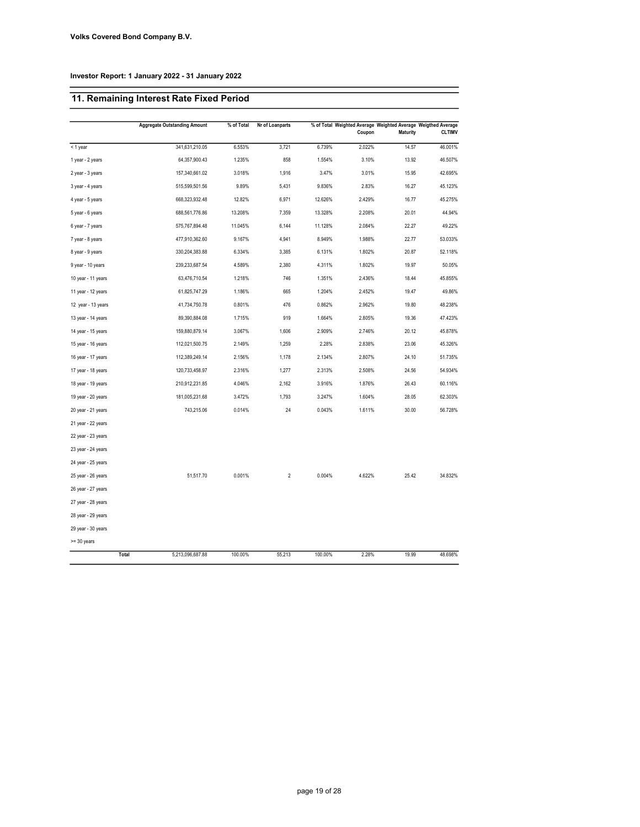# 11. Remaining Interest Rate Fixed Period

|                    | <b>Aggregate Outstanding Amount</b> | % of Total | Nr of Loanparts |         |        |                 | % of Total Weighted Average Weighted Average Weigthed Average |
|--------------------|-------------------------------------|------------|-----------------|---------|--------|-----------------|---------------------------------------------------------------|
|                    |                                     |            |                 |         | Coupon | <b>Maturity</b> | <b>CLTIMV</b>                                                 |
| < 1 year           | 341,631,210.05                      | 6.553%     | 3,721           | 6.739%  | 2.022% | 14.57           | 46.001%                                                       |
| 1 year - 2 years   | 64,357,900.43                       | 1.235%     | 858             | 1.554%  | 3.10%  | 13.92           | 46.507%                                                       |
| 2 year - 3 years   | 157,340,661.02                      | 3.018%     | 1,916           | 3.47%   | 3.01%  | 15.95           | 42.695%                                                       |
| 3 year - 4 years   | 515,599,501.56                      | 9.89%      | 5,431           | 9.836%  | 2.83%  | 16.27           | 45.123%                                                       |
| 4 year - 5 years   | 668,323,932.48                      | 12.82%     | 6,971           | 12.626% | 2.429% | 16.77           | 45.275%                                                       |
| 5 year - 6 years   | 688,561,776.86                      | 13.208%    | 7,359           | 13.328% | 2.208% | 20.01           | 44.94%                                                        |
| 6 year - 7 years   | 575,767,894.48                      | 11.045%    | 6,144           | 11.128% | 2.084% | 22.27           | 49.22%                                                        |
| 7 year - 8 years   | 477,910,362.60                      | 9.167%     | 4,941           | 8.949%  | 1.988% | 22.77           | 53.033%                                                       |
| 8 year - 9 years   | 330,204,383.88                      | 6.334%     | 3,385           | 6.131%  | 1.802% | 20.87           | 52.118%                                                       |
| 9 year - 10 years  | 239,233,687.54                      | 4.589%     | 2,380           | 4.311%  | 1.802% | 19.97           | 50.05%                                                        |
| 10 year - 11 years | 63,476,710.54                       | 1.218%     | 746             | 1.351%  | 2.436% | 18.44           | 45.855%                                                       |
| 11 year - 12 years | 61,825,747.29                       | 1.186%     | 665             | 1.204%  | 2.452% | 19.47           | 49.86%                                                        |
| 12 year - 13 years | 41,734,750.78                       | 0.801%     | 476             | 0.862%  | 2.962% | 19.80           | 48.238%                                                       |
| 13 year - 14 years | 89,390,884.08                       | 1.715%     | 919             | 1.664%  | 2.805% | 19.36           | 47.423%                                                       |
| 14 year - 15 years | 159,880,879.14                      | 3.067%     | 1,606           | 2.909%  | 2.746% | 20.12           | 45.878%                                                       |
| 15 year - 16 years | 112,021,500.75                      | 2.149%     | 1,259           | 2.28%   | 2.838% | 23.06           | 45.326%                                                       |
| 16 year - 17 years | 112,389,249.14                      | 2.156%     | 1,178           | 2.134%  | 2.807% | 24.10           | 51.735%                                                       |
| 17 year - 18 years | 120,733,458.97                      | 2.316%     | 1,277           | 2.313%  | 2.508% | 24.56           | 54.934%                                                       |
| 18 year - 19 years | 210,912,231.85                      | 4.046%     | 2,162           | 3.916%  | 1.876% | 26.43           | 60.116%                                                       |
| 19 year - 20 years | 181,005,231.68                      | 3.472%     | 1,793           | 3.247%  | 1.604% | 28.05           | 62.303%                                                       |
| 20 year - 21 years | 743,215.06                          | 0.014%     | 24              | 0.043%  | 1.611% | 30.00           | 56.728%                                                       |
| 21 year - 22 years |                                     |            |                 |         |        |                 |                                                               |
| 22 year - 23 years |                                     |            |                 |         |        |                 |                                                               |
| 23 year - 24 years |                                     |            |                 |         |        |                 |                                                               |
| 24 year - 25 years |                                     |            |                 |         |        |                 |                                                               |
| 25 year - 26 years | 51,517.70                           | 0.001%     | $\overline{2}$  | 0.004%  | 4.622% | 25.42           | 34.832%                                                       |
| 26 year - 27 years |                                     |            |                 |         |        |                 |                                                               |
| 27 year - 28 years |                                     |            |                 |         |        |                 |                                                               |
| 28 year - 29 years |                                     |            |                 |         |        |                 |                                                               |
| 29 year - 30 years |                                     |            |                 |         |        |                 |                                                               |
| >= 30 years        |                                     |            |                 |         |        |                 |                                                               |
|                    | Total<br>5,213,096,687.88           | 100.00%    | 55,213          | 100.00% | 2.28%  | 19.99           | 48.698%                                                       |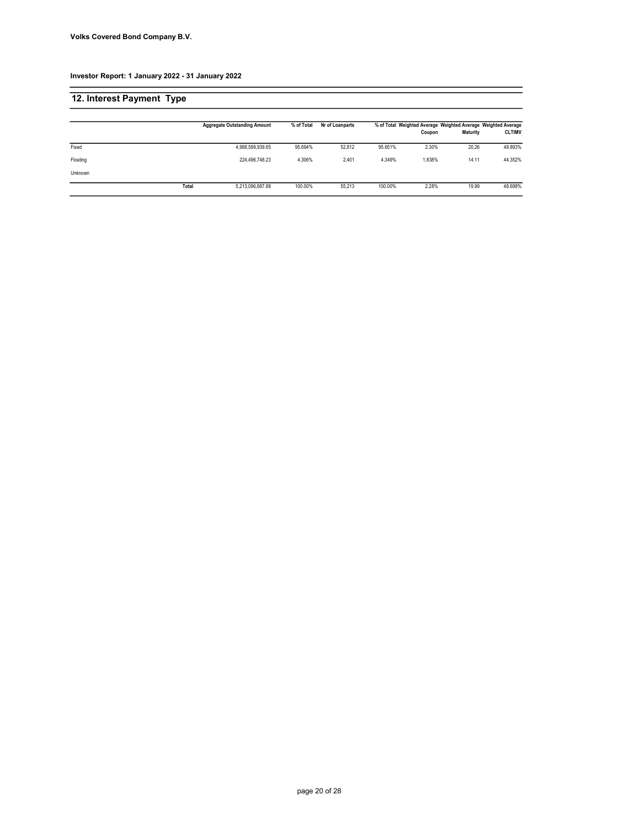| 12. Interest Payment Type |       |                                     |            |                 |         |        |                 |                                                                                |
|---------------------------|-------|-------------------------------------|------------|-----------------|---------|--------|-----------------|--------------------------------------------------------------------------------|
|                           |       | <b>Aggregate Outstanding Amount</b> | % of Total | Nr of Loanparts |         | Coupon | <b>Maturity</b> | % of Total Weighted Average Weighted Average Weighted Average<br><b>CLTIMV</b> |
| Fixed                     |       | 4,988,599,939.65                    | 95.694%    | 52.812          | 95.651% | 2.30%  | 20.26           | 48.893%                                                                        |
| Floating                  |       | 224.496.748.23                      | 4.306%     | 2.401           | 4.349%  | 1.838% | 14.11           | 44.352%                                                                        |
| Unknown                   |       |                                     |            |                 |         |        |                 |                                                                                |
|                           | Total | 5,213,096,687.88                    | 100.00%    | 55.213          | 100.00% | 2.28%  | 19.99           | 48.698%                                                                        |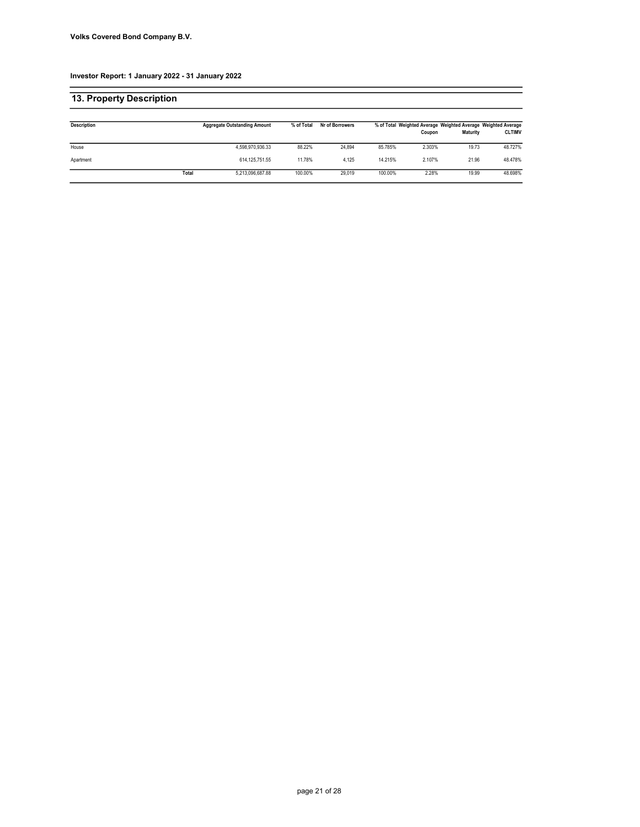| 13. Property Description |       |                                     |            |                 |         |        |                 |                                                                                |
|--------------------------|-------|-------------------------------------|------------|-----------------|---------|--------|-----------------|--------------------------------------------------------------------------------|
| <b>Description</b>       |       | <b>Aggregate Outstanding Amount</b> | % of Total | Nr of Borrowers |         | Coupon | <b>Maturity</b> | % of Total Weighted Average Weighted Average Weighted Average<br><b>CLTIMV</b> |
| House                    |       | 4,598,970,936.33                    | 88.22%     | 24.894          | 85.785% | 2.303% | 19.73           | 48.727%                                                                        |
| Apartment                |       | 614, 125, 751.55                    | 11.78%     | 4.125           | 14.215% | 2.107% | 21.96           | 48.478%                                                                        |
|                          | Total | 5.213.096.687.88                    | 100.00%    | 29.019          | 100.00% | 2.28%  | 19.99           | 48.698%                                                                        |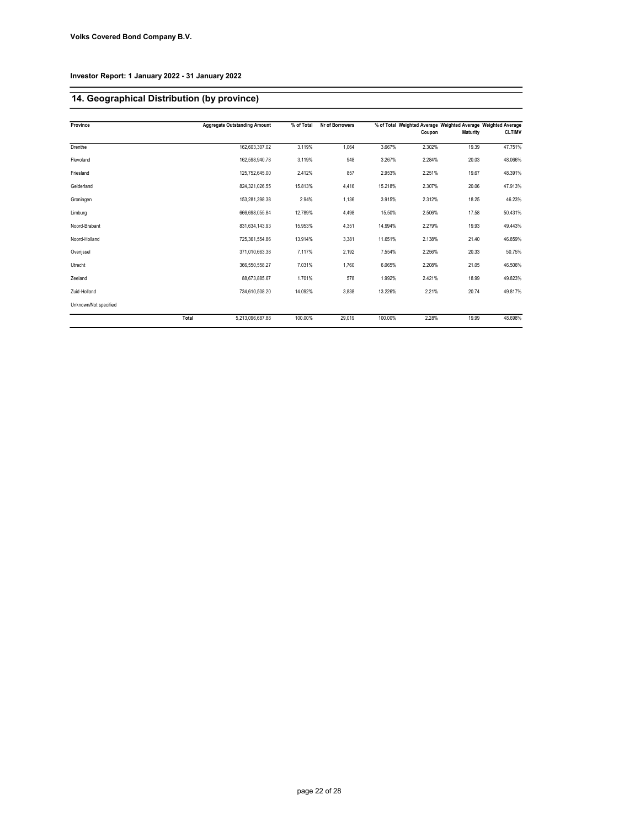# 14. Geographical Distribution (by province)

| Province              |       | <b>Aggregate Outstanding Amount</b> | % of Total | Nr of Borrowers |         |        |                 | % of Total Weighted Average Weighted Average Weighted Average |
|-----------------------|-------|-------------------------------------|------------|-----------------|---------|--------|-----------------|---------------------------------------------------------------|
|                       |       |                                     |            |                 |         | Coupon | <b>Maturity</b> | <b>CLTIMV</b>                                                 |
| Drenthe               |       | 162.603.307.02                      | 3.119%     | 1.064           | 3.667%  | 2.302% | 19.39           | 47.751%                                                       |
| Flevoland             |       | 162,598,940.78                      | 3.119%     | 948             | 3.267%  | 2.284% | 20.03           | 48.066%                                                       |
| Friesland             |       | 125,752,645.00                      | 2.412%     | 857             | 2.953%  | 2.251% | 19.67           | 48.391%                                                       |
| Gelderland            |       | 824,321,026.55                      | 15.813%    | 4,416           | 15.218% | 2.307% | 20.06           | 47.913%                                                       |
| Groningen             |       | 153.281.398.38                      | 2.94%      | 1.136           | 3.915%  | 2.312% | 18.25           | 46.23%                                                        |
| Limburg               |       | 666.698.055.84                      | 12.789%    | 4,498           | 15.50%  | 2.506% | 17.58           | 50.431%                                                       |
| Noord-Brabant         |       | 831,634,143.93                      | 15.953%    | 4,351           | 14.994% | 2.279% | 19.93           | 49.443%                                                       |
| Noord-Holland         |       | 725.361.554.86                      | 13.914%    | 3.381           | 11.651% | 2.138% | 21.40           | 46.859%                                                       |
| Overijssel            |       | 371,010,663.38                      | 7.117%     | 2,192           | 7.554%  | 2.256% | 20.33           | 50.75%                                                        |
| Utrecht               |       | 366,550,558.27                      | 7.031%     | 1,760           | 6.065%  | 2.208% | 21.05           | 46.506%                                                       |
| Zeeland               |       | 88.673.885.67                       | 1.701%     | 578             | 1.992%  | 2.421% | 18.99           | 49.823%                                                       |
| Zuid-Holland          |       | 734,610,508.20                      | 14.092%    | 3,838           | 13.226% | 2.21%  | 20.74           | 49.817%                                                       |
| Unknown/Not specified |       |                                     |            |                 |         |        |                 |                                                               |
|                       | Total | 5.213.096.687.88                    | 100.00%    | 29.019          | 100.00% | 2.28%  | 19.99           | 48.698%                                                       |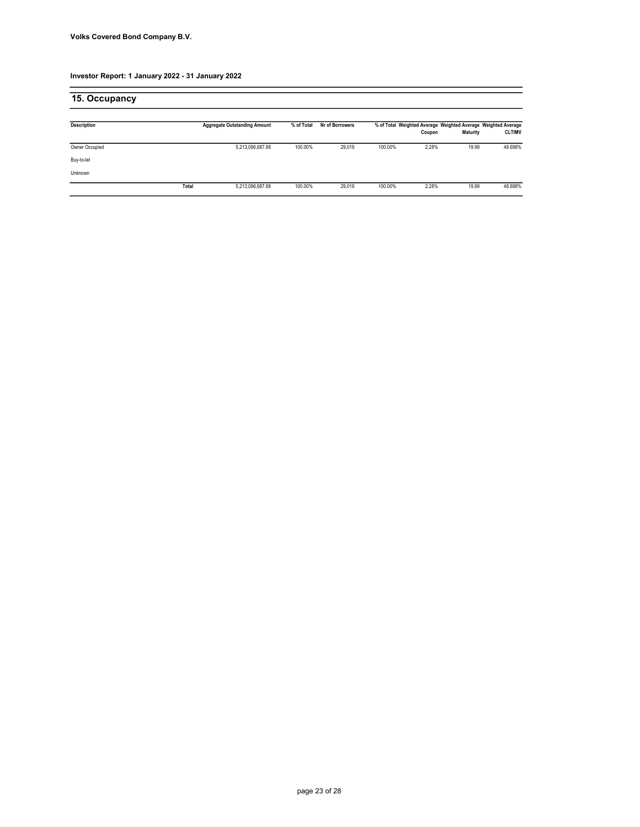| 15. Occupancy      |       |                                     |            |                 |         |        |                                                                           |               |
|--------------------|-------|-------------------------------------|------------|-----------------|---------|--------|---------------------------------------------------------------------------|---------------|
| <b>Description</b> |       | <b>Aggregate Outstanding Amount</b> | % of Total | Nr of Borrowers |         | Coupon | % of Total Weighted Average Weighted Average Weighted Average<br>Maturity | <b>CLTIMV</b> |
| Owner Occupied     |       | 5,213,096,687.88                    | 100.00%    | 29,019          | 100.00% | 2.28%  | 19.99                                                                     | 48.698%       |
| Buy-to-let         |       |                                     |            |                 |         |        |                                                                           |               |
| Unknown            |       |                                     |            |                 |         |        |                                                                           |               |
|                    | Total | 5,213,096,687.88                    | 100.00%    | 29.019          | 100.00% | 2.28%  | 19.99                                                                     | 48.698%       |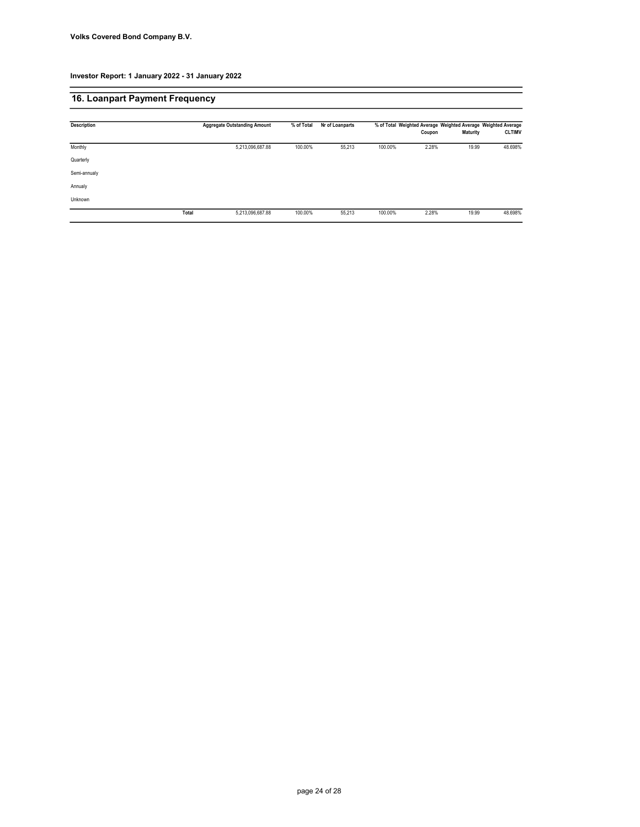# 16. Loanpart Payment Frequency

| <b>Description</b> | <b>Aggregate Outstanding Amount</b> | % of Total | Nr of Loanparts |         |        |                 | % of Total Weighted Average Weighted Average Weighted Average |
|--------------------|-------------------------------------|------------|-----------------|---------|--------|-----------------|---------------------------------------------------------------|
|                    |                                     |            |                 |         | Coupon | <b>Maturity</b> | <b>CLTIMV</b>                                                 |
| Monthly            | 5,213,096,687.88                    | 100.00%    | 55,213          | 100.00% | 2.28%  | 19.99           | 48.698%                                                       |
| Quarterly          |                                     |            |                 |         |        |                 |                                                               |
| Semi-annualy       |                                     |            |                 |         |        |                 |                                                               |
| Annualy            |                                     |            |                 |         |        |                 |                                                               |
| Unknown            |                                     |            |                 |         |        |                 |                                                               |
|                    | Total<br>5,213,096,687.88           | 100.00%    | 55,213          | 100.00% | 2.28%  | 19.99           | 48.698%                                                       |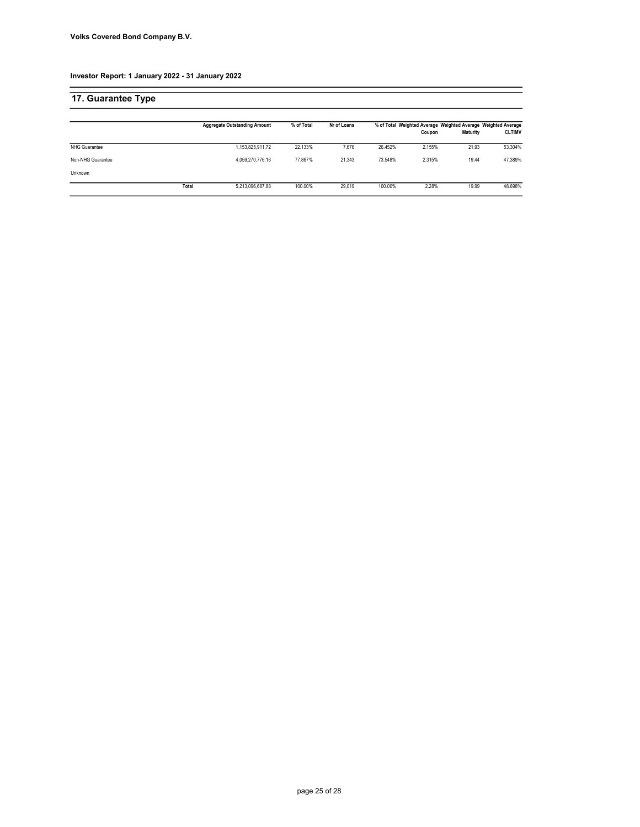| 17. Guarantee Type   |       |                                     |            |             |         |        |          |                                                                                |
|----------------------|-------|-------------------------------------|------------|-------------|---------|--------|----------|--------------------------------------------------------------------------------|
|                      |       | <b>Aggregate Outstanding Amount</b> | % of Total | Nr of Loans |         | Coupon | Maturity | % of Total Weighted Average Weighted Average Weighted Average<br><b>CLTIMV</b> |
| <b>NHG Guarantee</b> |       | 1.153.825.911.72                    | 22.133%    | 7.676       | 26.452% | 2.155% | 21.93    | 53.304%                                                                        |
| Non-NHG Guarantee    |       | 4.059.270.776.16                    | 77.867%    | 21.343      | 73.548% | 2.315% | 19.44    | 47.389%                                                                        |
| Unknown              |       |                                     |            |             |         |        |          |                                                                                |
|                      | Total | 5.213.096.687.88                    | 100.00%    | 29.019      | 100.00% | 2.28%  | 19.99    | 48.698%                                                                        |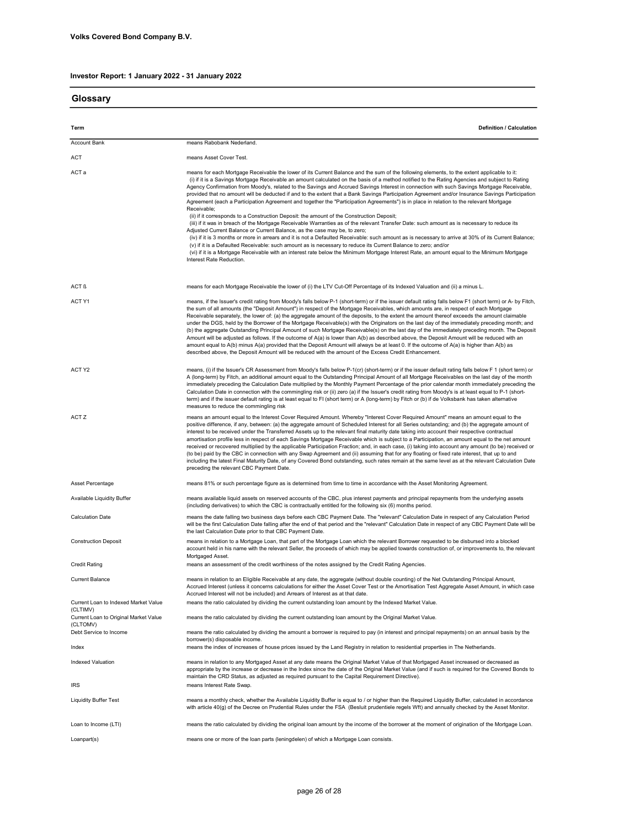Glossary

| onossai y                                         |                                                                                                                                                                                                                                                                                                                                                                                                                                                                                                                                                                                                                                                                                                                                                                                                                                                                                                                                                                                                                                                                                                                                                                                                                                                                                                                                                                                                                                                                                                                                        |
|---------------------------------------------------|----------------------------------------------------------------------------------------------------------------------------------------------------------------------------------------------------------------------------------------------------------------------------------------------------------------------------------------------------------------------------------------------------------------------------------------------------------------------------------------------------------------------------------------------------------------------------------------------------------------------------------------------------------------------------------------------------------------------------------------------------------------------------------------------------------------------------------------------------------------------------------------------------------------------------------------------------------------------------------------------------------------------------------------------------------------------------------------------------------------------------------------------------------------------------------------------------------------------------------------------------------------------------------------------------------------------------------------------------------------------------------------------------------------------------------------------------------------------------------------------------------------------------------------|
| Term                                              | Definition / Calculation                                                                                                                                                                                                                                                                                                                                                                                                                                                                                                                                                                                                                                                                                                                                                                                                                                                                                                                                                                                                                                                                                                                                                                                                                                                                                                                                                                                                                                                                                                               |
| <b>Account Bank</b>                               | means Rabobank Nederland.                                                                                                                                                                                                                                                                                                                                                                                                                                                                                                                                                                                                                                                                                                                                                                                                                                                                                                                                                                                                                                                                                                                                                                                                                                                                                                                                                                                                                                                                                                              |
| ACT                                               | means Asset Cover Test.                                                                                                                                                                                                                                                                                                                                                                                                                                                                                                                                                                                                                                                                                                                                                                                                                                                                                                                                                                                                                                                                                                                                                                                                                                                                                                                                                                                                                                                                                                                |
| ACT a                                             | means for each Mortgage Receivable the lower of its Current Balance and the sum of the following elements, to the extent applicable to it:<br>(i) if it is a Savings Mortgage Receivable an amount calculated on the basis of a method notified to the Rating Agencies and subject to Rating<br>Agency Confirmation from Moody's, related to the Savings and Accrued Savings Interest in connection with such Savings Mortgage Receivable,<br>provided that no amount will be deducted if and to the extent that a Bank Savings Participation Agreement and/or Insurance Savings Participation<br>Agreement (each a Participation Agreement and together the "Participation Agreements") is in place in relation to the relevant Mortgage<br>Receivable;<br>(ii) if it corresponds to a Construction Deposit: the amount of the Construction Deposit;<br>(iii) if it was in breach of the Mortgage Receivable Warranties as of the relevant Transfer Date: such amount as is necessary to reduce its<br>Adjusted Current Balance or Current Balance, as the case may be, to zero;<br>(iv) if it is 3 months or more in arrears and it is not a Defaulted Receivable: such amount as is necessary to arrive at 30% of its Current Balance;<br>(v) if it is a Defaulted Receivable: such amount as is necessary to reduce its Current Balance to zero; and/or<br>(vi) if it is a Mortgage Receivable with an interest rate below the Minimum Mortgage Interest Rate, an amount equal to the Minimum Mortgage<br>Interest Rate Reduction. |
| ACT ß                                             | means for each Mortgage Receivable the lower of (i) the LTV Cut-Off Percentage of its Indexed Valuation and (ii) a minus L.                                                                                                                                                                                                                                                                                                                                                                                                                                                                                                                                                                                                                                                                                                                                                                                                                                                                                                                                                                                                                                                                                                                                                                                                                                                                                                                                                                                                            |
| ACT Y1                                            | means, if the Issuer's credit rating from Moody's falls below P-1 (short-term) or if the issuer default rating falls below F1 (short term) or A- by Fitch,<br>the sum of all amounts (the "Deposit Amount") in respect of the Mortgage Receivables, which amounts are, in respect of each Mortgage<br>Receivable separately, the lower of: (a) the aggregate amount of the deposits, to the extent the amount thereof exceeds the amount claimable<br>under the DGS, held by the Borrower of the Mortgage Receivable(s) with the Originators on the last day of the immediately preceding month; and<br>(b) the aggregate Outstanding Principal Amount of such Mortgage Receivable(s) on the last day of the immediately preceding month. The Deposit<br>Amount will be adjusted as follows. If the outcome of A(a) is lower than A(b) as described above, the Deposit Amount will be reduced with an<br>amount equal to A(b) minus A(a) provided that the Deposit Amount will always be at least 0. If the outcome of A(a) is higher than A(b) as<br>described above, the Deposit Amount will be reduced with the amount of the Excess Credit Enhancement.                                                                                                                                                                                                                                                                                                                                                                            |
| ACT Y2                                            | means, (i) if the Issuer's CR Assessment from Moody's falls below P-1(cr) (short-term) or if the issuer default rating falls below F 1 (short term) or<br>A (long-term) by Fitch, an additional amount equal to the Outstanding Principal Amount of all Mortgage Receivables on the last day of the month<br>immediately preceding the Calculation Date multiplied by the Monthly Payment Percentage of the prior calendar month immediately preceding the<br>Calculation Date in connection with the commingling risk or (ii) zero (a) if the Issuer's credit rating from Moody's is at least equal to P-1 (short-<br>term) and if the issuer default rating is at least equal to FI (short term) or A (long-term) by Fitch or (b) if de Volksbank has taken alternative<br>measures to reduce the commingling risk                                                                                                                                                                                                                                                                                                                                                                                                                                                                                                                                                                                                                                                                                                                   |
| ACT Z                                             | means an amount equal to the Interest Cover Required Amount. Whereby "Interest Cover Required Amount" means an amount equal to the<br>positive difference, if any, between: (a) the aggregate amount of Scheduled Interest for all Series outstanding; and (b) the aggregate amount of<br>interest to be received under the Transferred Assets up to the relevant final maturity date taking into account their respective contractual<br>amortisation profile less in respect of each Savings Mortgage Receivable which is subject to a Participation, an amount equal to the net amount<br>received or recovered multiplied by the applicable Participation Fraction; and, in each case, (i) taking into account any amount (to be) received or<br>(to be) paid by the CBC in connection with any Swap Agreement and (ii) assuming that for any floating or fixed rate interest, that up to and<br>including the latest Final Maturity Date, of any Covered Bond outstanding, such rates remain at the same level as at the relevant Calculation Date<br>preceding the relevant CBC Payment Date.                                                                                                                                                                                                                                                                                                                                                                                                                                    |
| Asset Percentage                                  | means 81% or such percentage figure as is determined from time to time in accordance with the Asset Monitoring Agreement.                                                                                                                                                                                                                                                                                                                                                                                                                                                                                                                                                                                                                                                                                                                                                                                                                                                                                                                                                                                                                                                                                                                                                                                                                                                                                                                                                                                                              |
| Available Liquidity Buffer                        | means available liquid assets on reserved accounts of the CBC, plus interest payments and principal repayments from the underlying assets<br>(including derivatives) to which the CBC is contractually entitled for the following six (6) months period.                                                                                                                                                                                                                                                                                                                                                                                                                                                                                                                                                                                                                                                                                                                                                                                                                                                                                                                                                                                                                                                                                                                                                                                                                                                                               |
| <b>Calculation Date</b>                           | means the date falling two business days before each CBC Payment Date. The "relevant" Calculation Date in respect of any Calculation Period<br>will be the first Calculation Date falling after the end of that period and the "relevant" Calculation Date in respect of any CBC Payment Date will be<br>the last Calculation Date prior to that CBC Payment Date.                                                                                                                                                                                                                                                                                                                                                                                                                                                                                                                                                                                                                                                                                                                                                                                                                                                                                                                                                                                                                                                                                                                                                                     |
| <b>Construction Deposit</b>                       | means in relation to a Mortgage Loan, that part of the Mortgage Loan which the relevant Borrower requested to be disbursed into a blocked<br>account held in his name with the relevant Seller, the proceeds of which may be applied towards construction of, or improvements to, the relevant<br>Mortgaged Asset.                                                                                                                                                                                                                                                                                                                                                                                                                                                                                                                                                                                                                                                                                                                                                                                                                                                                                                                                                                                                                                                                                                                                                                                                                     |
| <b>Credit Rating</b>                              | means an assessment of the credit worthiness of the notes assigned by the Credit Rating Agencies.                                                                                                                                                                                                                                                                                                                                                                                                                                                                                                                                                                                                                                                                                                                                                                                                                                                                                                                                                                                                                                                                                                                                                                                                                                                                                                                                                                                                                                      |
| <b>Current Balance</b>                            | means in relation to an Eligible Receivable at any date, the aggregate (without double counting) of the Net Outstanding Principal Amount,<br>Accrued Interest (unless it concerns calculations for either the Asset Cover Test or the Amortisation Test Aggregate Asset Amount, in which case<br>Accrued Interest will not be included) and Arrears of Interest as at that date.                                                                                                                                                                                                                                                                                                                                                                                                                                                                                                                                                                                                                                                                                                                                                                                                                                                                                                                                                                                                                                                                                                                                                       |
| Current Loan to Indexed Market Value<br>(CLTIMV)  | means the ratio calculated by dividing the current outstanding loan amount by the Indexed Market Value.                                                                                                                                                                                                                                                                                                                                                                                                                                                                                                                                                                                                                                                                                                                                                                                                                                                                                                                                                                                                                                                                                                                                                                                                                                                                                                                                                                                                                                |
| Current Loan to Original Market Value<br>(CLTOMV) | means the ratio calculated by dividing the current outstanding loan amount by the Original Market Value.                                                                                                                                                                                                                                                                                                                                                                                                                                                                                                                                                                                                                                                                                                                                                                                                                                                                                                                                                                                                                                                                                                                                                                                                                                                                                                                                                                                                                               |
| Debt Service to Income                            | means the ratio calculated by dividing the amount a borrower is required to pay (in interest and principal repayments) on an annual basis by the<br>borrower(s) disposable income.                                                                                                                                                                                                                                                                                                                                                                                                                                                                                                                                                                                                                                                                                                                                                                                                                                                                                                                                                                                                                                                                                                                                                                                                                                                                                                                                                     |
| Index                                             | means the index of increases of house prices issued by the Land Registry in relation to residential properties in The Netherlands.                                                                                                                                                                                                                                                                                                                                                                                                                                                                                                                                                                                                                                                                                                                                                                                                                                                                                                                                                                                                                                                                                                                                                                                                                                                                                                                                                                                                     |
| <b>Indexed Valuation</b>                          | means in relation to any Mortgaged Asset at any date means the Original Market Value of that Mortgaged Asset increased or decreased as<br>appropriate by the increase or decrease in the Index since the date of the Original Market Value (and if such is required for the Covered Bonds to<br>maintain the CRD Status, as adjusted as required pursuant to the Capital Requirement Directive).                                                                                                                                                                                                                                                                                                                                                                                                                                                                                                                                                                                                                                                                                                                                                                                                                                                                                                                                                                                                                                                                                                                                       |
| IRS                                               | means Interest Rate Swap.                                                                                                                                                                                                                                                                                                                                                                                                                                                                                                                                                                                                                                                                                                                                                                                                                                                                                                                                                                                                                                                                                                                                                                                                                                                                                                                                                                                                                                                                                                              |
| <b>Liquidity Buffer Test</b>                      | means a monthly check, whether the Available Liquidity Buffer is equal to / or higher than the Required Liquidity Buffer, calculated in accordance<br>with article 40(g) of the Decree on Prudential Rules under the FSA (Besluit prudentiele regels Wft) and annually checked by the Asset Monitor.                                                                                                                                                                                                                                                                                                                                                                                                                                                                                                                                                                                                                                                                                                                                                                                                                                                                                                                                                                                                                                                                                                                                                                                                                                   |
| Loan to Income (LTI)                              | means the ratio calculated by dividing the original loan amount by the income of the borrower at the moment of origination of the Mortgage Loan.                                                                                                                                                                                                                                                                                                                                                                                                                                                                                                                                                                                                                                                                                                                                                                                                                                                                                                                                                                                                                                                                                                                                                                                                                                                                                                                                                                                       |
| Loanpart(s)                                       | means one or more of the loan parts (leningdelen) of which a Mortgage Loan consists.                                                                                                                                                                                                                                                                                                                                                                                                                                                                                                                                                                                                                                                                                                                                                                                                                                                                                                                                                                                                                                                                                                                                                                                                                                                                                                                                                                                                                                                   |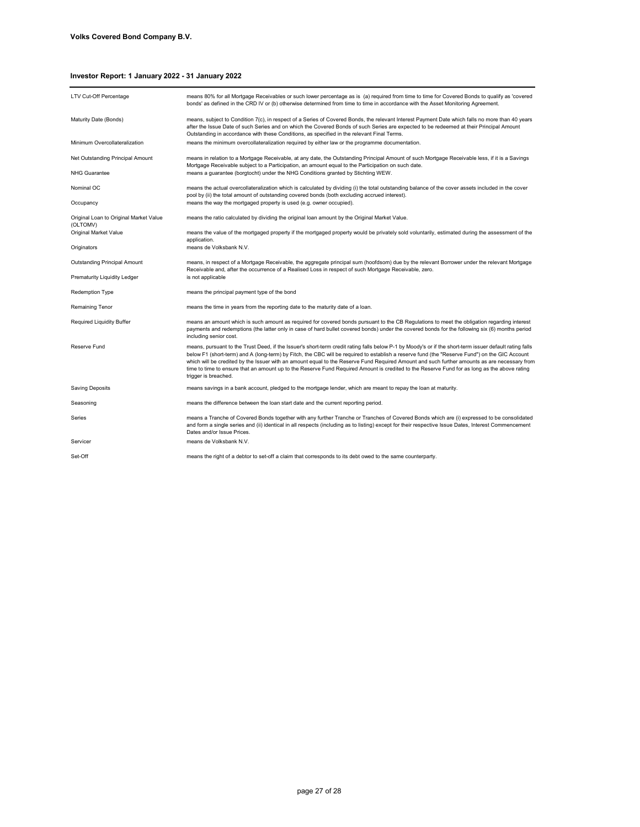| LTV Cut-Off Percentage                             | means 80% for all Mortgage Receivables or such lower percentage as is (a) required from time to time for Covered Bonds to qualify as 'covered<br>bonds' as defined in the CRD IV or (b) otherwise determined from time to time in accordance with the Asset Monitoring Agreement.                                                                                                                                                                                                                                                                                                                                                 |
|----------------------------------------------------|-----------------------------------------------------------------------------------------------------------------------------------------------------------------------------------------------------------------------------------------------------------------------------------------------------------------------------------------------------------------------------------------------------------------------------------------------------------------------------------------------------------------------------------------------------------------------------------------------------------------------------------|
| Maturity Date (Bonds)                              | means, subject to Condition 7(c), in respect of a Series of Covered Bonds, the relevant Interest Payment Date which falls no more than 40 years<br>after the Issue Date of such Series and on which the Covered Bonds of such Series are expected to be redeemed at their Principal Amount<br>Outstanding in accordance with these Conditions, as specified in the relevant Final Terms.                                                                                                                                                                                                                                          |
| Minimum Overcollateralization                      | means the minimum overcollateralization required by either law or the programme documentation.                                                                                                                                                                                                                                                                                                                                                                                                                                                                                                                                    |
| Net Outstanding Principal Amount                   | means in relation to a Mortgage Receivable, at any date, the Outstanding Principal Amount of such Mortgage Receivable less, if it is a Savings<br>Mortgage Receivable subject to a Participation, an amount equal to the Participation on such date.                                                                                                                                                                                                                                                                                                                                                                              |
| <b>NHG Guarantee</b>                               | means a guarantee (borgtocht) under the NHG Conditions granted by Stichting WEW.                                                                                                                                                                                                                                                                                                                                                                                                                                                                                                                                                  |
| Nominal OC                                         | means the actual overcollateralization which is calculated by dividing (i) the total outstanding balance of the cover assets included in the cover<br>pool by (ii) the total amount of outstanding covered bonds (both excluding accrued interest).                                                                                                                                                                                                                                                                                                                                                                               |
| Occupancy                                          | means the way the mortgaged property is used (e.g. owner occupied).                                                                                                                                                                                                                                                                                                                                                                                                                                                                                                                                                               |
| Original Loan to Original Market Value<br>(OLTOMV) | means the ratio calculated by dividing the original loan amount by the Original Market Value.                                                                                                                                                                                                                                                                                                                                                                                                                                                                                                                                     |
| Original Market Value                              | means the value of the mortgaged property if the mortgaged property would be privately sold voluntarily, estimated during the assessment of the<br>application.                                                                                                                                                                                                                                                                                                                                                                                                                                                                   |
| Originators                                        | means de Volksbank N.V.                                                                                                                                                                                                                                                                                                                                                                                                                                                                                                                                                                                                           |
| Outstanding Principal Amount                       | means, in respect of a Mortgage Receivable, the aggregate principal sum (hoofdsom) due by the relevant Borrower under the relevant Mortgage<br>Receivable and, after the occurrence of a Realised Loss in respect of such Mortgage Receivable, zero.                                                                                                                                                                                                                                                                                                                                                                              |
| Prematurity Liquidity Ledger                       | is not applicable                                                                                                                                                                                                                                                                                                                                                                                                                                                                                                                                                                                                                 |
| <b>Redemption Type</b>                             | means the principal payment type of the bond                                                                                                                                                                                                                                                                                                                                                                                                                                                                                                                                                                                      |
| Remaining Tenor                                    | means the time in years from the reporting date to the maturity date of a loan.                                                                                                                                                                                                                                                                                                                                                                                                                                                                                                                                                   |
| <b>Required Liquidity Buffer</b>                   | means an amount which is such amount as required for covered bonds pursuant to the CB Regulations to meet the obligation regarding interest<br>payments and redemptions (the latter only in case of hard bullet covered bonds) under the covered bonds for the following six (6) months period<br>including senior cost.                                                                                                                                                                                                                                                                                                          |
| Reserve Fund                                       | means, pursuant to the Trust Deed, if the Issuer's short-term credit rating falls below P-1 by Moody's or if the short-term issuer default rating falls<br>below F1 (short-term) and A (long-term) by Fitch, the CBC will be required to establish a reserve fund (the "Reserve Fund") on the GIC Account<br>which will be credited by the Issuer with an amount equal to the Reserve Fund Required Amount and such further amounts as are necessary from<br>time to time to ensure that an amount up to the Reserve Fund Required Amount is credited to the Reserve Fund for as long as the above rating<br>trigger is breached. |
| <b>Saving Deposits</b>                             | means savings in a bank account, pledged to the mortgage lender, which are meant to repay the loan at maturity.                                                                                                                                                                                                                                                                                                                                                                                                                                                                                                                   |
| Seasoning                                          | means the difference between the loan start date and the current reporting period.                                                                                                                                                                                                                                                                                                                                                                                                                                                                                                                                                |
| Series                                             | means a Tranche of Covered Bonds together with any further Tranche or Tranches of Covered Bonds which are (i) expressed to be consolidated<br>and form a single series and (ii) identical in all respects (including as to listing) except for their respective Issue Dates, Interest Commencement<br>Dates and/or Issue Prices.                                                                                                                                                                                                                                                                                                  |
| Servicer                                           | means de Volksbank N.V.                                                                                                                                                                                                                                                                                                                                                                                                                                                                                                                                                                                                           |
| Set-Off                                            | means the right of a debtor to set-off a claim that corresponds to its debt owed to the same counterparty.                                                                                                                                                                                                                                                                                                                                                                                                                                                                                                                        |